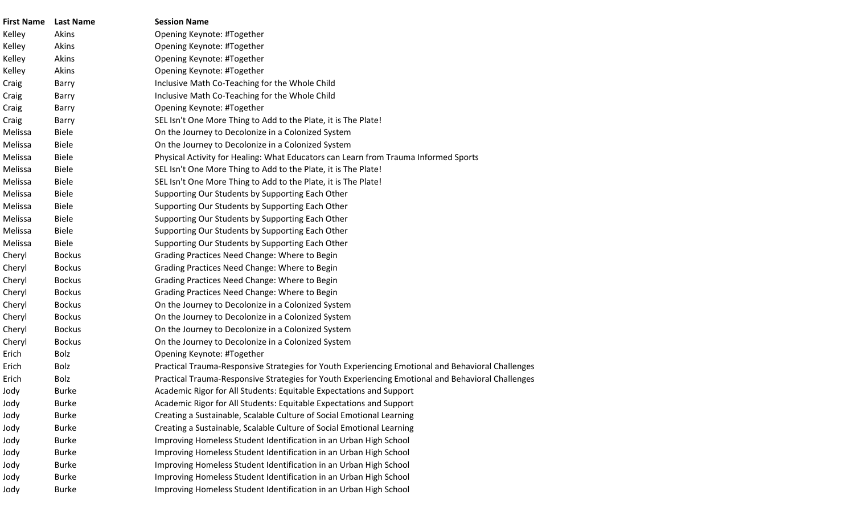| <b>First Name</b> | <b>Last Name</b> | <b>Session Name</b>                                                                               |
|-------------------|------------------|---------------------------------------------------------------------------------------------------|
| Kelley            | Akins            | Opening Keynote: #Together                                                                        |
| Kelley            | Akins            | Opening Keynote: #Together                                                                        |
| Kelley            | Akins            | Opening Keynote: #Together                                                                        |
| Kelley            | Akins            | Opening Keynote: #Together                                                                        |
| Craig             | Barry            | Inclusive Math Co-Teaching for the Whole Child                                                    |
| Craig             | Barry            | Inclusive Math Co-Teaching for the Whole Child                                                    |
| Craig             | Barry            | Opening Keynote: #Together                                                                        |
| Craig             | <b>Barry</b>     | SEL Isn't One More Thing to Add to the Plate, it is The Plate!                                    |
| Melissa           | <b>Biele</b>     | On the Journey to Decolonize in a Colonized System                                                |
| Melissa           | <b>Biele</b>     | On the Journey to Decolonize in a Colonized System                                                |
| Melissa           | <b>Biele</b>     | Physical Activity for Healing: What Educators can Learn from Trauma Informed Sports               |
| Melissa           | <b>Biele</b>     | SEL Isn't One More Thing to Add to the Plate, it is The Plate!                                    |
| Melissa           | <b>Biele</b>     | SEL Isn't One More Thing to Add to the Plate, it is The Plate!                                    |
| Melissa           | <b>Biele</b>     | Supporting Our Students by Supporting Each Other                                                  |
| Melissa           | <b>Biele</b>     | Supporting Our Students by Supporting Each Other                                                  |
| Melissa           | <b>Biele</b>     | Supporting Our Students by Supporting Each Other                                                  |
| Melissa           | <b>Biele</b>     | Supporting Our Students by Supporting Each Other                                                  |
| Melissa           | <b>Biele</b>     | Supporting Our Students by Supporting Each Other                                                  |
| Cheryl            | <b>Bockus</b>    | Grading Practices Need Change: Where to Begin                                                     |
| Cheryl            | <b>Bockus</b>    | Grading Practices Need Change: Where to Begin                                                     |
| Cheryl            | <b>Bockus</b>    | Grading Practices Need Change: Where to Begin                                                     |
| Cheryl            | <b>Bockus</b>    | Grading Practices Need Change: Where to Begin                                                     |
| Cheryl            | <b>Bockus</b>    | On the Journey to Decolonize in a Colonized System                                                |
| Cheryl            | <b>Bockus</b>    | On the Journey to Decolonize in a Colonized System                                                |
| Cheryl            | <b>Bockus</b>    | On the Journey to Decolonize in a Colonized System                                                |
| Cheryl            | <b>Bockus</b>    | On the Journey to Decolonize in a Colonized System                                                |
| Erich             | <b>Bolz</b>      | Opening Keynote: #Together                                                                        |
| Erich             | Bolz             | Practical Trauma-Responsive Strategies for Youth Experiencing Emotional and Behavioral Challenges |
| Erich             | Bolz             | Practical Trauma-Responsive Strategies for Youth Experiencing Emotional and Behavioral Challenges |
| Jody              | <b>Burke</b>     | Academic Rigor for All Students: Equitable Expectations and Support                               |
| Jody              | <b>Burke</b>     | Academic Rigor for All Students: Equitable Expectations and Support                               |
| Jody              | <b>Burke</b>     | Creating a Sustainable, Scalable Culture of Social Emotional Learning                             |
| Jody              | <b>Burke</b>     | Creating a Sustainable, Scalable Culture of Social Emotional Learning                             |
| Jody              | <b>Burke</b>     | Improving Homeless Student Identification in an Urban High School                                 |
| Jody              | <b>Burke</b>     | Improving Homeless Student Identification in an Urban High School                                 |
| Jody              | <b>Burke</b>     | Improving Homeless Student Identification in an Urban High School                                 |
| Jody              | <b>Burke</b>     | Improving Homeless Student Identification in an Urban High School                                 |
| Jody              | <b>Burke</b>     | Improving Homeless Student Identification in an Urban High School                                 |
|                   |                  |                                                                                                   |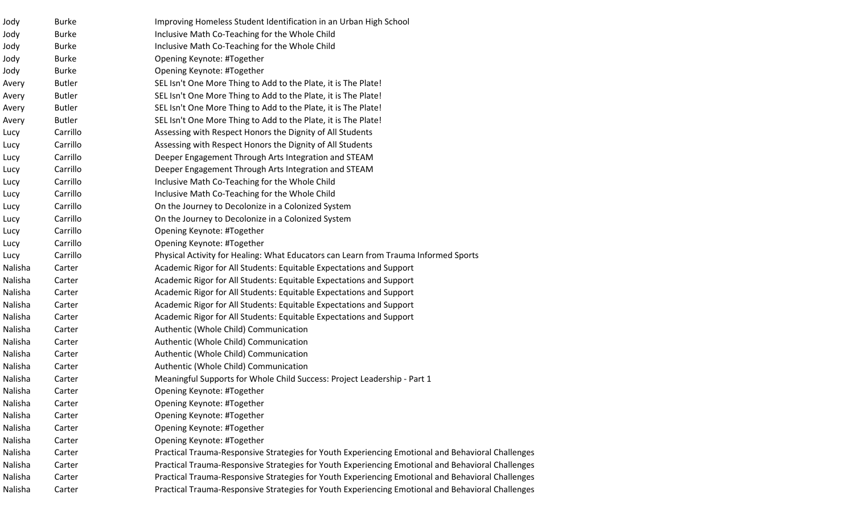| Jody    | <b>Burke</b>  | Improving Homeless Student Identification in an Urban High School                                 |
|---------|---------------|---------------------------------------------------------------------------------------------------|
| Jody    | <b>Burke</b>  | Inclusive Math Co-Teaching for the Whole Child                                                    |
| Jody    | <b>Burke</b>  | Inclusive Math Co-Teaching for the Whole Child                                                    |
| Jody    | <b>Burke</b>  | Opening Keynote: #Together                                                                        |
| Jody    | <b>Burke</b>  | Opening Keynote: #Together                                                                        |
| Avery   | <b>Butler</b> | SEL Isn't One More Thing to Add to the Plate, it is The Plate!                                    |
| Avery   | <b>Butler</b> | SEL Isn't One More Thing to Add to the Plate, it is The Plate!                                    |
| Avery   | <b>Butler</b> | SEL Isn't One More Thing to Add to the Plate, it is The Plate!                                    |
| Avery   | <b>Butler</b> | SEL Isn't One More Thing to Add to the Plate, it is The Plate!                                    |
| Lucy    | Carrillo      | Assessing with Respect Honors the Dignity of All Students                                         |
| Lucy    | Carrillo      | Assessing with Respect Honors the Dignity of All Students                                         |
| Lucy    | Carrillo      | Deeper Engagement Through Arts Integration and STEAM                                              |
| Lucy    | Carrillo      | Deeper Engagement Through Arts Integration and STEAM                                              |
| Lucy    | Carrillo      | Inclusive Math Co-Teaching for the Whole Child                                                    |
| Lucy    | Carrillo      | Inclusive Math Co-Teaching for the Whole Child                                                    |
| Lucy    | Carrillo      | On the Journey to Decolonize in a Colonized System                                                |
| Lucy    | Carrillo      | On the Journey to Decolonize in a Colonized System                                                |
| Lucy    | Carrillo      | Opening Keynote: #Together                                                                        |
| Lucy    | Carrillo      | Opening Keynote: #Together                                                                        |
| Lucy    | Carrillo      | Physical Activity for Healing: What Educators can Learn from Trauma Informed Sports               |
| Nalisha | Carter        | Academic Rigor for All Students: Equitable Expectations and Support                               |
| Nalisha | Carter        | Academic Rigor for All Students: Equitable Expectations and Support                               |
| Nalisha | Carter        | Academic Rigor for All Students: Equitable Expectations and Support                               |
| Nalisha | Carter        | Academic Rigor for All Students: Equitable Expectations and Support                               |
| Nalisha | Carter        | Academic Rigor for All Students: Equitable Expectations and Support                               |
| Nalisha | Carter        | Authentic (Whole Child) Communication                                                             |
| Nalisha | Carter        | Authentic (Whole Child) Communication                                                             |
| Nalisha | Carter        | Authentic (Whole Child) Communication                                                             |
| Nalisha | Carter        | Authentic (Whole Child) Communication                                                             |
| Nalisha | Carter        | Meaningful Supports for Whole Child Success: Project Leadership - Part 1                          |
| Nalisha | Carter        | Opening Keynote: #Together                                                                        |
| Nalisha | Carter        | Opening Keynote: #Together                                                                        |
| Nalisha | Carter        | Opening Keynote: #Together                                                                        |
| Nalisha | Carter        | Opening Keynote: #Together                                                                        |
| Nalisha | Carter        | Opening Keynote: #Together                                                                        |
| Nalisha | Carter        | Practical Trauma-Responsive Strategies for Youth Experiencing Emotional and Behavioral Challenges |
| Nalisha | Carter        | Practical Trauma-Responsive Strategies for Youth Experiencing Emotional and Behavioral Challenges |
| Nalisha | Carter        | Practical Trauma-Responsive Strategies for Youth Experiencing Emotional and Behavioral Challenges |
| Nalisha | Carter        | Practical Trauma-Responsive Strategies for Youth Experiencing Emotional and Behavioral Challenges |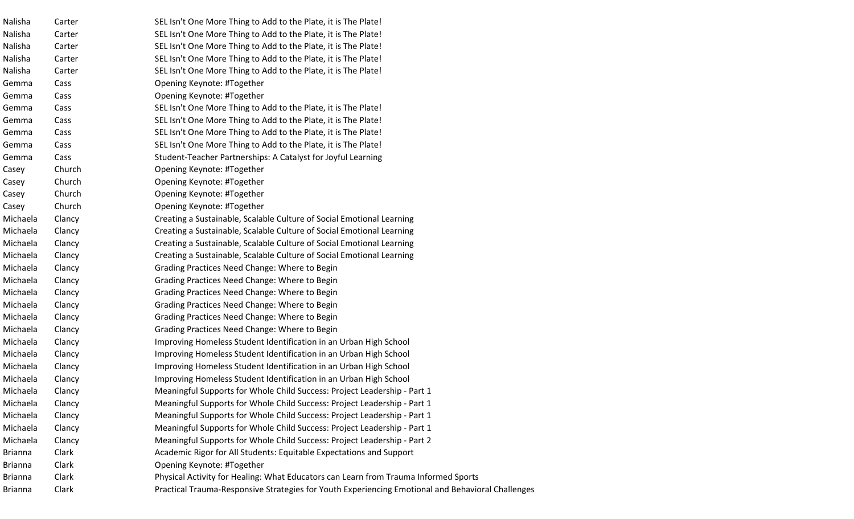| Nalisha        | Carter | SEL Isn't One More Thing to Add to the Plate, it is The Plate!                                    |
|----------------|--------|---------------------------------------------------------------------------------------------------|
| Nalisha        | Carter | SEL Isn't One More Thing to Add to the Plate, it is The Plate!                                    |
| Nalisha        | Carter | SEL Isn't One More Thing to Add to the Plate, it is The Plate!                                    |
| Nalisha        | Carter | SEL Isn't One More Thing to Add to the Plate, it is The Plate!                                    |
| Nalisha        | Carter | SEL Isn't One More Thing to Add to the Plate, it is The Plate!                                    |
| Gemma          | Cass   | Opening Keynote: #Together                                                                        |
| Gemma          | Cass   | Opening Keynote: #Together                                                                        |
| Gemma          | Cass   | SEL Isn't One More Thing to Add to the Plate, it is The Plate!                                    |
| Gemma          | Cass   | SEL Isn't One More Thing to Add to the Plate, it is The Plate!                                    |
| Gemma          | Cass   | SEL Isn't One More Thing to Add to the Plate, it is The Plate!                                    |
| Gemma          | Cass   | SEL Isn't One More Thing to Add to the Plate, it is The Plate!                                    |
| Gemma          | Cass   | Student-Teacher Partnerships: A Catalyst for Joyful Learning                                      |
| Casey          | Church | Opening Keynote: #Together                                                                        |
| Casey          | Church | Opening Keynote: #Together                                                                        |
| Casey          | Church | Opening Keynote: #Together                                                                        |
| Casey          | Church | Opening Keynote: #Together                                                                        |
| Michaela       | Clancy | Creating a Sustainable, Scalable Culture of Social Emotional Learning                             |
| Michaela       | Clancy | Creating a Sustainable, Scalable Culture of Social Emotional Learning                             |
| Michaela       | Clancy | Creating a Sustainable, Scalable Culture of Social Emotional Learning                             |
| Michaela       | Clancy | Creating a Sustainable, Scalable Culture of Social Emotional Learning                             |
| Michaela       | Clancy | Grading Practices Need Change: Where to Begin                                                     |
| Michaela       | Clancy | Grading Practices Need Change: Where to Begin                                                     |
| Michaela       | Clancy | Grading Practices Need Change: Where to Begin                                                     |
| Michaela       | Clancy | Grading Practices Need Change: Where to Begin                                                     |
| Michaela       | Clancy | Grading Practices Need Change: Where to Begin                                                     |
| Michaela       | Clancy | Grading Practices Need Change: Where to Begin                                                     |
| Michaela       | Clancy | Improving Homeless Student Identification in an Urban High School                                 |
| Michaela       | Clancy | Improving Homeless Student Identification in an Urban High School                                 |
| Michaela       | Clancy | Improving Homeless Student Identification in an Urban High School                                 |
| Michaela       | Clancy | Improving Homeless Student Identification in an Urban High School                                 |
| Michaela       | Clancy | Meaningful Supports for Whole Child Success: Project Leadership - Part 1                          |
| Michaela       | Clancy | Meaningful Supports for Whole Child Success: Project Leadership - Part 1                          |
| Michaela       | Clancy | Meaningful Supports for Whole Child Success: Project Leadership - Part 1                          |
| Michaela       | Clancy | Meaningful Supports for Whole Child Success: Project Leadership - Part 1                          |
| Michaela       | Clancy | Meaningful Supports for Whole Child Success: Project Leadership - Part 2                          |
| <b>Brianna</b> | Clark  | Academic Rigor for All Students: Equitable Expectations and Support                               |
| <b>Brianna</b> | Clark  | Opening Keynote: #Together                                                                        |
| <b>Brianna</b> | Clark  | Physical Activity for Healing: What Educators can Learn from Trauma Informed Sports               |
| <b>Brianna</b> | Clark  | Practical Trauma-Responsive Strategies for Youth Experiencing Emotional and Behavioral Challenges |
|                |        |                                                                                                   |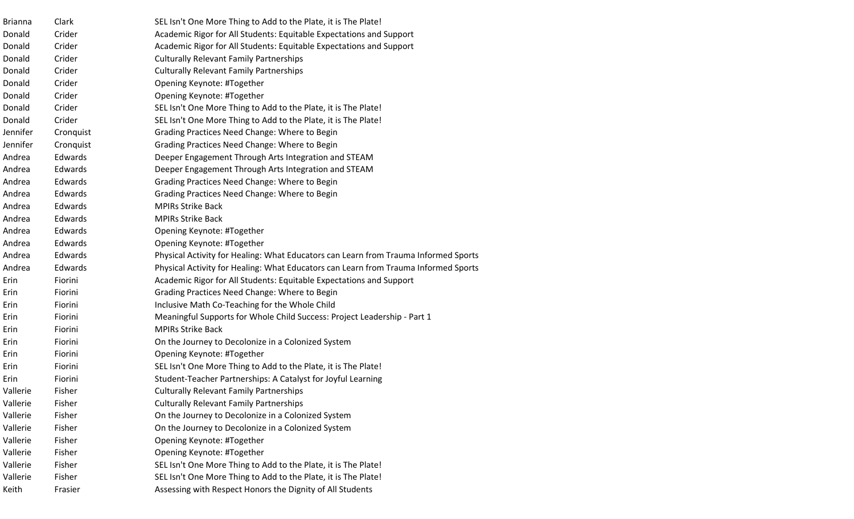| <b>Brianna</b> | Clark     | SEL Isn't One More Thing to Add to the Plate, it is The Plate!                      |
|----------------|-----------|-------------------------------------------------------------------------------------|
| Donald         | Crider    | Academic Rigor for All Students: Equitable Expectations and Support                 |
| Donald         | Crider    | Academic Rigor for All Students: Equitable Expectations and Support                 |
| Donald         | Crider    | <b>Culturally Relevant Family Partnerships</b>                                      |
| Donald         | Crider    | <b>Culturally Relevant Family Partnerships</b>                                      |
| Donald         | Crider    | Opening Keynote: #Together                                                          |
| Donald         | Crider    | Opening Keynote: #Together                                                          |
| Donald         | Crider    | SEL Isn't One More Thing to Add to the Plate, it is The Plate!                      |
| Donald         | Crider    | SEL Isn't One More Thing to Add to the Plate, it is The Plate!                      |
| Jennifer       | Cronquist | Grading Practices Need Change: Where to Begin                                       |
| Jennifer       | Cronquist | Grading Practices Need Change: Where to Begin                                       |
| Andrea         | Edwards   | Deeper Engagement Through Arts Integration and STEAM                                |
| Andrea         | Edwards   | Deeper Engagement Through Arts Integration and STEAM                                |
| Andrea         | Edwards   | Grading Practices Need Change: Where to Begin                                       |
| Andrea         | Edwards   | Grading Practices Need Change: Where to Begin                                       |
| Andrea         | Edwards   | <b>MPIRs Strike Back</b>                                                            |
| Andrea         | Edwards   | <b>MPIRs Strike Back</b>                                                            |
| Andrea         | Edwards   | Opening Keynote: #Together                                                          |
| Andrea         | Edwards   | Opening Keynote: #Together                                                          |
| Andrea         | Edwards   | Physical Activity for Healing: What Educators can Learn from Trauma Informed Sports |
| Andrea         | Edwards   | Physical Activity for Healing: What Educators can Learn from Trauma Informed Sports |
| Erin           | Fiorini   | Academic Rigor for All Students: Equitable Expectations and Support                 |
| Erin           | Fiorini   | Grading Practices Need Change: Where to Begin                                       |
| Erin           | Fiorini   | Inclusive Math Co-Teaching for the Whole Child                                      |
| Erin           | Fiorini   | Meaningful Supports for Whole Child Success: Project Leadership - Part 1            |
| Erin           | Fiorini   | <b>MPIRs Strike Back</b>                                                            |
| Erin           | Fiorini   | On the Journey to Decolonize in a Colonized System                                  |
| Erin           | Fiorini   | Opening Keynote: #Together                                                          |
| Erin           | Fiorini   | SEL Isn't One More Thing to Add to the Plate, it is The Plate!                      |
| Erin           | Fiorini   | Student-Teacher Partnerships: A Catalyst for Joyful Learning                        |
| Vallerie       | Fisher    | <b>Culturally Relevant Family Partnerships</b>                                      |
| Vallerie       | Fisher    | <b>Culturally Relevant Family Partnerships</b>                                      |
| Vallerie       | Fisher    | On the Journey to Decolonize in a Colonized System                                  |
| Vallerie       | Fisher    | On the Journey to Decolonize in a Colonized System                                  |
| Vallerie       | Fisher    | Opening Keynote: #Together                                                          |
| Vallerie       | Fisher    | Opening Keynote: #Together                                                          |
| Vallerie       | Fisher    | SEL Isn't One More Thing to Add to the Plate, it is The Plate!                      |
| Vallerie       | Fisher    | SEL Isn't One More Thing to Add to the Plate, it is The Plate!                      |
| Keith          | Frasier   | Assessing with Respect Honors the Dignity of All Students                           |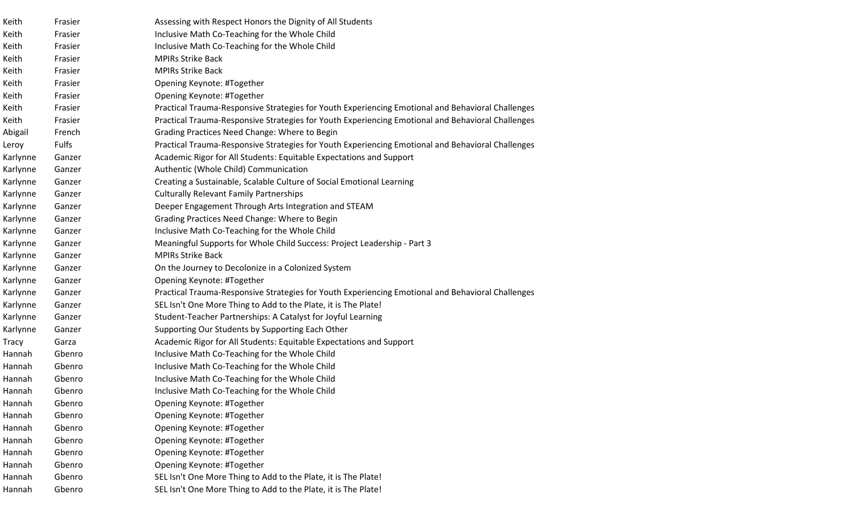| Keith        | Frasier      | Assessing with Respect Honors the Dignity of All Students                                         |
|--------------|--------------|---------------------------------------------------------------------------------------------------|
| Keith        | Frasier      | Inclusive Math Co-Teaching for the Whole Child                                                    |
| Keith        | Frasier      | Inclusive Math Co-Teaching for the Whole Child                                                    |
| Keith        | Frasier      | <b>MPIRs Strike Back</b>                                                                          |
| Keith        | Frasier      | <b>MPIRs Strike Back</b>                                                                          |
| Keith        | Frasier      | Opening Keynote: #Together                                                                        |
| Keith        | Frasier      | Opening Keynote: #Together                                                                        |
| Keith        | Frasier      | Practical Trauma-Responsive Strategies for Youth Experiencing Emotional and Behavioral Challenges |
| Keith        | Frasier      | Practical Trauma-Responsive Strategies for Youth Experiencing Emotional and Behavioral Challenges |
| Abigail      | French       | Grading Practices Need Change: Where to Begin                                                     |
| Leroy        | <b>Fulfs</b> | Practical Trauma-Responsive Strategies for Youth Experiencing Emotional and Behavioral Challenges |
| Karlynne     | Ganzer       | Academic Rigor for All Students: Equitable Expectations and Support                               |
| Karlynne     | Ganzer       | Authentic (Whole Child) Communication                                                             |
| Karlynne     | Ganzer       | Creating a Sustainable, Scalable Culture of Social Emotional Learning                             |
| Karlynne     | Ganzer       | <b>Culturally Relevant Family Partnerships</b>                                                    |
| Karlynne     | Ganzer       | Deeper Engagement Through Arts Integration and STEAM                                              |
| Karlynne     | Ganzer       | Grading Practices Need Change: Where to Begin                                                     |
| Karlynne     | Ganzer       | Inclusive Math Co-Teaching for the Whole Child                                                    |
| Karlynne     | Ganzer       | Meaningful Supports for Whole Child Success: Project Leadership - Part 3                          |
| Karlynne     | Ganzer       | <b>MPIRs Strike Back</b>                                                                          |
| Karlynne     | Ganzer       | On the Journey to Decolonize in a Colonized System                                                |
| Karlynne     | Ganzer       | Opening Keynote: #Together                                                                        |
| Karlynne     | Ganzer       | Practical Trauma-Responsive Strategies for Youth Experiencing Emotional and Behavioral Challenges |
| Karlynne     | Ganzer       | SEL Isn't One More Thing to Add to the Plate, it is The Plate!                                    |
| Karlynne     | Ganzer       | Student-Teacher Partnerships: A Catalyst for Joyful Learning                                      |
| Karlynne     | Ganzer       | Supporting Our Students by Supporting Each Other                                                  |
| <b>Tracy</b> | Garza        | Academic Rigor for All Students: Equitable Expectations and Support                               |
| Hannah       | Gbenro       | Inclusive Math Co-Teaching for the Whole Child                                                    |
| Hannah       | Gbenro       | Inclusive Math Co-Teaching for the Whole Child                                                    |
| Hannah       | Gbenro       | Inclusive Math Co-Teaching for the Whole Child                                                    |
| Hannah       | Gbenro       | Inclusive Math Co-Teaching for the Whole Child                                                    |
| Hannah       | Gbenro       | Opening Keynote: #Together                                                                        |
| Hannah       | Gbenro       | Opening Keynote: #Together                                                                        |
| Hannah       | Gbenro       | Opening Keynote: #Together                                                                        |
| Hannah       | Gbenro       | Opening Keynote: #Together                                                                        |
| Hannah       | Gbenro       | Opening Keynote: #Together                                                                        |
| Hannah       | Gbenro       | Opening Keynote: #Together                                                                        |
| Hannah       | Gbenro       | SEL Isn't One More Thing to Add to the Plate, it is The Plate!                                    |
| Hannah       | Gbenro       | SEL Isn't One More Thing to Add to the Plate, it is The Plate!                                    |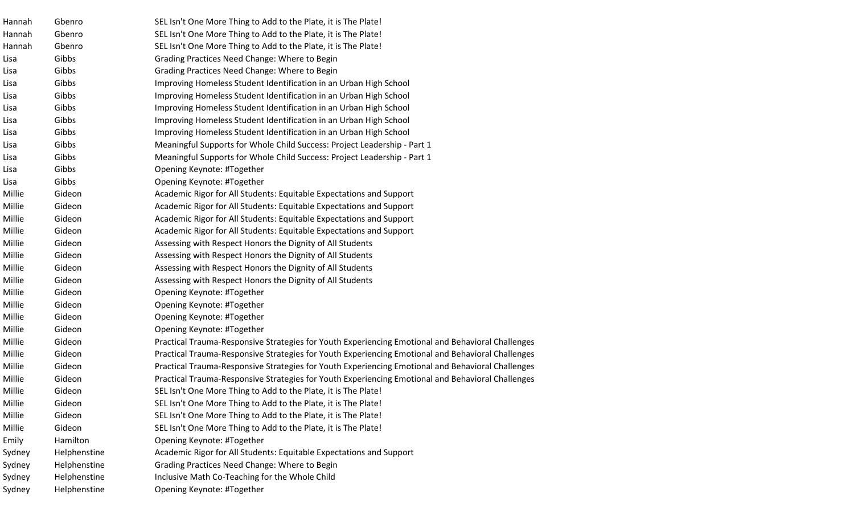| Hannah | Gbenro       | SEL Isn't One More Thing to Add to the Plate, it is The Plate!                                    |
|--------|--------------|---------------------------------------------------------------------------------------------------|
| Hannah | Gbenro       | SEL Isn't One More Thing to Add to the Plate, it is The Plate!                                    |
| Hannah | Gbenro       | SEL Isn't One More Thing to Add to the Plate, it is The Plate!                                    |
| Lisa   | Gibbs        | Grading Practices Need Change: Where to Begin                                                     |
| Lisa   | Gibbs        | Grading Practices Need Change: Where to Begin                                                     |
| Lisa   | Gibbs        | Improving Homeless Student Identification in an Urban High School                                 |
| Lisa   | Gibbs        | Improving Homeless Student Identification in an Urban High School                                 |
| Lisa   | Gibbs        | Improving Homeless Student Identification in an Urban High School                                 |
| Lisa   | Gibbs        | Improving Homeless Student Identification in an Urban High School                                 |
| Lisa   | Gibbs        | Improving Homeless Student Identification in an Urban High School                                 |
| Lisa   | Gibbs        | Meaningful Supports for Whole Child Success: Project Leadership - Part 1                          |
| Lisa   | Gibbs        | Meaningful Supports for Whole Child Success: Project Leadership - Part 1                          |
| Lisa   | Gibbs        | Opening Keynote: #Together                                                                        |
| Lisa   | Gibbs        | Opening Keynote: #Together                                                                        |
| Millie | Gideon       | Academic Rigor for All Students: Equitable Expectations and Support                               |
| Millie | Gideon       | Academic Rigor for All Students: Equitable Expectations and Support                               |
| Millie | Gideon       | Academic Rigor for All Students: Equitable Expectations and Support                               |
| Millie | Gideon       | Academic Rigor for All Students: Equitable Expectations and Support                               |
| Millie | Gideon       | Assessing with Respect Honors the Dignity of All Students                                         |
| Millie | Gideon       | Assessing with Respect Honors the Dignity of All Students                                         |
| Millie | Gideon       | Assessing with Respect Honors the Dignity of All Students                                         |
| Millie | Gideon       | Assessing with Respect Honors the Dignity of All Students                                         |
| Millie | Gideon       | Opening Keynote: #Together                                                                        |
| Millie | Gideon       | Opening Keynote: #Together                                                                        |
| Millie | Gideon       | Opening Keynote: #Together                                                                        |
| Millie | Gideon       | Opening Keynote: #Together                                                                        |
| Millie | Gideon       | Practical Trauma-Responsive Strategies for Youth Experiencing Emotional and Behavioral Challenges |
| Millie | Gideon       | Practical Trauma-Responsive Strategies for Youth Experiencing Emotional and Behavioral Challenges |
| Millie | Gideon       | Practical Trauma-Responsive Strategies for Youth Experiencing Emotional and Behavioral Challenges |
| Millie | Gideon       | Practical Trauma-Responsive Strategies for Youth Experiencing Emotional and Behavioral Challenges |
| Millie | Gideon       | SEL Isn't One More Thing to Add to the Plate, it is The Plate!                                    |
| Millie | Gideon       | SEL Isn't One More Thing to Add to the Plate, it is The Plate!                                    |
| Millie | Gideon       | SEL Isn't One More Thing to Add to the Plate, it is The Plate!                                    |
| Millie | Gideon       | SEL Isn't One More Thing to Add to the Plate, it is The Plate!                                    |
| Emily  | Hamilton     | Opening Keynote: #Together                                                                        |
| Sydney | Helphenstine | Academic Rigor for All Students: Equitable Expectations and Support                               |
| Sydney | Helphenstine | Grading Practices Need Change: Where to Begin                                                     |
| Sydney | Helphenstine | Inclusive Math Co-Teaching for the Whole Child                                                    |
| Sydney | Helphenstine | Opening Keynote: #Together                                                                        |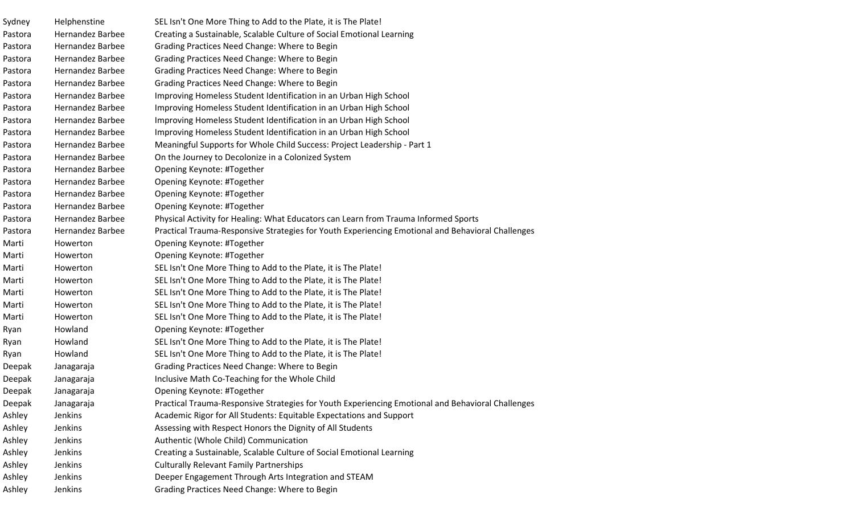| Sydney  | Helphenstine            | SEL Isn't One More Thing to Add to the Plate, it is The Plate!                                    |
|---------|-------------------------|---------------------------------------------------------------------------------------------------|
| Pastora | <b>Hernandez Barbee</b> | Creating a Sustainable, Scalable Culture of Social Emotional Learning                             |
| Pastora | <b>Hernandez Barbee</b> | Grading Practices Need Change: Where to Begin                                                     |
| Pastora | <b>Hernandez Barbee</b> | Grading Practices Need Change: Where to Begin                                                     |
| Pastora | <b>Hernandez Barbee</b> | Grading Practices Need Change: Where to Begin                                                     |
| Pastora | <b>Hernandez Barbee</b> | Grading Practices Need Change: Where to Begin                                                     |
| Pastora | <b>Hernandez Barbee</b> | Improving Homeless Student Identification in an Urban High School                                 |
| Pastora | <b>Hernandez Barbee</b> | Improving Homeless Student Identification in an Urban High School                                 |
| Pastora | <b>Hernandez Barbee</b> | Improving Homeless Student Identification in an Urban High School                                 |
| Pastora | <b>Hernandez Barbee</b> | Improving Homeless Student Identification in an Urban High School                                 |
| Pastora | <b>Hernandez Barbee</b> | Meaningful Supports for Whole Child Success: Project Leadership - Part 1                          |
| Pastora | <b>Hernandez Barbee</b> | On the Journey to Decolonize in a Colonized System                                                |
| Pastora | <b>Hernandez Barbee</b> | Opening Keynote: #Together                                                                        |
| Pastora | <b>Hernandez Barbee</b> | Opening Keynote: #Together                                                                        |
| Pastora | <b>Hernandez Barbee</b> | Opening Keynote: #Together                                                                        |
| Pastora | <b>Hernandez Barbee</b> | Opening Keynote: #Together                                                                        |
| Pastora | <b>Hernandez Barbee</b> | Physical Activity for Healing: What Educators can Learn from Trauma Informed Sports               |
| Pastora | <b>Hernandez Barbee</b> | Practical Trauma-Responsive Strategies for Youth Experiencing Emotional and Behavioral Challenges |
| Marti   | Howerton                | Opening Keynote: #Together                                                                        |
| Marti   | Howerton                | Opening Keynote: #Together                                                                        |
| Marti   | Howerton                | SEL Isn't One More Thing to Add to the Plate, it is The Plate!                                    |
| Marti   | Howerton                | SEL Isn't One More Thing to Add to the Plate, it is The Plate!                                    |
| Marti   | Howerton                | SEL Isn't One More Thing to Add to the Plate, it is The Plate!                                    |
| Marti   | Howerton                | SEL Isn't One More Thing to Add to the Plate, it is The Plate!                                    |
| Marti   | Howerton                | SEL Isn't One More Thing to Add to the Plate, it is The Plate!                                    |
| Ryan    | Howland                 | Opening Keynote: #Together                                                                        |
| Ryan    | Howland                 | SEL Isn't One More Thing to Add to the Plate, it is The Plate!                                    |
| Ryan    | Howland                 | SEL Isn't One More Thing to Add to the Plate, it is The Plate!                                    |
| Deepak  | Janagaraja              | Grading Practices Need Change: Where to Begin                                                     |
| Deepak  | Janagaraja              | Inclusive Math Co-Teaching for the Whole Child                                                    |
| Deepak  | Janagaraja              | Opening Keynote: #Together                                                                        |
| Deepak  | Janagaraja              | Practical Trauma-Responsive Strategies for Youth Experiencing Emotional and Behavioral Challenges |
| Ashley  | Jenkins                 | Academic Rigor for All Students: Equitable Expectations and Support                               |
| Ashley  | Jenkins                 | Assessing with Respect Honors the Dignity of All Students                                         |
| Ashley  | Jenkins                 | Authentic (Whole Child) Communication                                                             |
| Ashley  | Jenkins                 | Creating a Sustainable, Scalable Culture of Social Emotional Learning                             |
| Ashley  | Jenkins                 | <b>Culturally Relevant Family Partnerships</b>                                                    |
| Ashley  | Jenkins                 | Deeper Engagement Through Arts Integration and STEAM                                              |
| Ashley  | Jenkins                 | Grading Practices Need Change: Where to Begin                                                     |
|         |                         |                                                                                                   |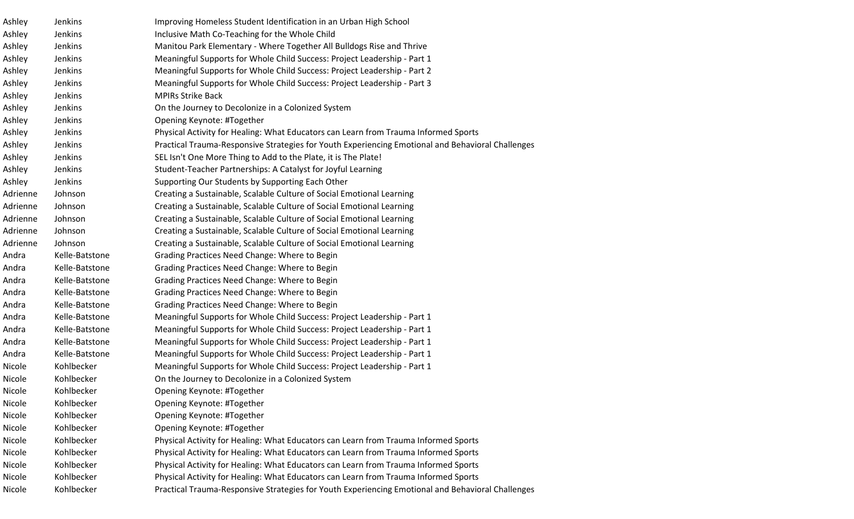| Ashley   | Jenkins        | Improving Homeless Student Identification in an Urban High School                                 |
|----------|----------------|---------------------------------------------------------------------------------------------------|
| Ashley   | Jenkins        | Inclusive Math Co-Teaching for the Whole Child                                                    |
| Ashley   | Jenkins        | Manitou Park Elementary - Where Together All Bulldogs Rise and Thrive                             |
| Ashley   | Jenkins        | Meaningful Supports for Whole Child Success: Project Leadership - Part 1                          |
| Ashley   | Jenkins        | Meaningful Supports for Whole Child Success: Project Leadership - Part 2                          |
| Ashley   | Jenkins        | Meaningful Supports for Whole Child Success: Project Leadership - Part 3                          |
| Ashley   | Jenkins        | <b>MPIRs Strike Back</b>                                                                          |
| Ashley   | Jenkins        | On the Journey to Decolonize in a Colonized System                                                |
| Ashley   | Jenkins        | Opening Keynote: #Together                                                                        |
| Ashley   | Jenkins        | Physical Activity for Healing: What Educators can Learn from Trauma Informed Sports               |
| Ashley   | Jenkins        | Practical Trauma-Responsive Strategies for Youth Experiencing Emotional and Behavioral Challenges |
| Ashley   | Jenkins        | SEL Isn't One More Thing to Add to the Plate, it is The Plate!                                    |
| Ashley   | Jenkins        | Student-Teacher Partnerships: A Catalyst for Joyful Learning                                      |
| Ashley   | Jenkins        | Supporting Our Students by Supporting Each Other                                                  |
| Adrienne | Johnson        | Creating a Sustainable, Scalable Culture of Social Emotional Learning                             |
| Adrienne | Johnson        | Creating a Sustainable, Scalable Culture of Social Emotional Learning                             |
| Adrienne | Johnson        | Creating a Sustainable, Scalable Culture of Social Emotional Learning                             |
| Adrienne | Johnson        | Creating a Sustainable, Scalable Culture of Social Emotional Learning                             |
| Adrienne | Johnson        | Creating a Sustainable, Scalable Culture of Social Emotional Learning                             |
| Andra    | Kelle-Batstone | Grading Practices Need Change: Where to Begin                                                     |
| Andra    | Kelle-Batstone | Grading Practices Need Change: Where to Begin                                                     |
| Andra    | Kelle-Batstone | Grading Practices Need Change: Where to Begin                                                     |
| Andra    | Kelle-Batstone | Grading Practices Need Change: Where to Begin                                                     |
| Andra    | Kelle-Batstone | Grading Practices Need Change: Where to Begin                                                     |
| Andra    | Kelle-Batstone | Meaningful Supports for Whole Child Success: Project Leadership - Part 1                          |
| Andra    | Kelle-Batstone | Meaningful Supports for Whole Child Success: Project Leadership - Part 1                          |
| Andra    | Kelle-Batstone | Meaningful Supports for Whole Child Success: Project Leadership - Part 1                          |
| Andra    | Kelle-Batstone | Meaningful Supports for Whole Child Success: Project Leadership - Part 1                          |
| Nicole   | Kohlbecker     | Meaningful Supports for Whole Child Success: Project Leadership - Part 1                          |
| Nicole   | Kohlbecker     | On the Journey to Decolonize in a Colonized System                                                |
| Nicole   | Kohlbecker     | Opening Keynote: #Together                                                                        |
| Nicole   | Kohlbecker     | Opening Keynote: #Together                                                                        |
| Nicole   | Kohlbecker     | Opening Keynote: #Together                                                                        |
| Nicole   | Kohlbecker     | Opening Keynote: #Together                                                                        |
| Nicole   | Kohlbecker     | Physical Activity for Healing: What Educators can Learn from Trauma Informed Sports               |
| Nicole   | Kohlbecker     | Physical Activity for Healing: What Educators can Learn from Trauma Informed Sports               |
| Nicole   | Kohlbecker     | Physical Activity for Healing: What Educators can Learn from Trauma Informed Sports               |
| Nicole   | Kohlbecker     | Physical Activity for Healing: What Educators can Learn from Trauma Informed Sports               |
| Nicole   | Kohlbecker     | Practical Trauma-Responsive Strategies for Youth Experiencing Emotional and Behavioral Challenges |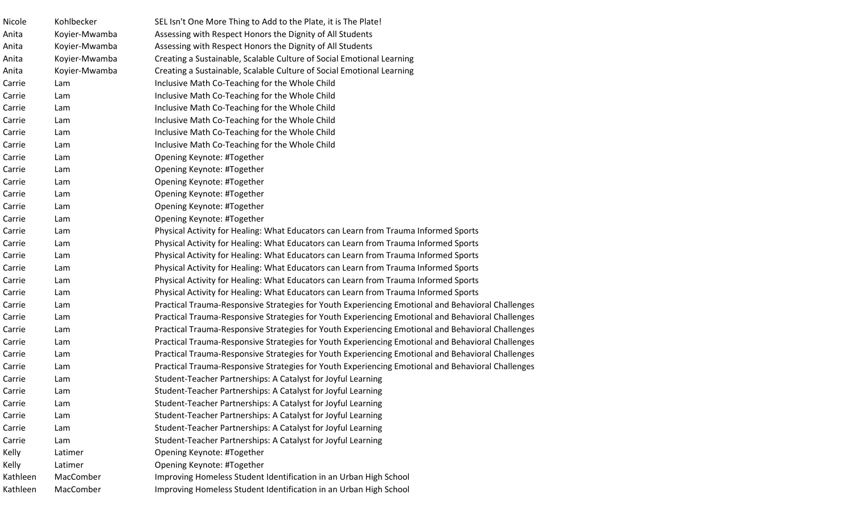| Nicole   | Kohlbecker    | SEL Isn't One More Thing to Add to the Plate, it is The Plate!                                    |
|----------|---------------|---------------------------------------------------------------------------------------------------|
| Anita    | Koyier-Mwamba | Assessing with Respect Honors the Dignity of All Students                                         |
| Anita    | Koyier-Mwamba | Assessing with Respect Honors the Dignity of All Students                                         |
| Anita    | Koyier-Mwamba | Creating a Sustainable, Scalable Culture of Social Emotional Learning                             |
| Anita    | Koyier-Mwamba | Creating a Sustainable, Scalable Culture of Social Emotional Learning                             |
| Carrie   | Lam           | Inclusive Math Co-Teaching for the Whole Child                                                    |
| Carrie   | Lam           | Inclusive Math Co-Teaching for the Whole Child                                                    |
| Carrie   | Lam           | Inclusive Math Co-Teaching for the Whole Child                                                    |
| Carrie   | Lam           | Inclusive Math Co-Teaching for the Whole Child                                                    |
| Carrie   | Lam           | Inclusive Math Co-Teaching for the Whole Child                                                    |
| Carrie   | Lam           | Inclusive Math Co-Teaching for the Whole Child                                                    |
| Carrie   | Lam           | Opening Keynote: #Together                                                                        |
| Carrie   | Lam           | Opening Keynote: #Together                                                                        |
| Carrie   | Lam           | Opening Keynote: #Together                                                                        |
| Carrie   | Lam           | Opening Keynote: #Together                                                                        |
| Carrie   | Lam           | Opening Keynote: #Together                                                                        |
| Carrie   | Lam           | Opening Keynote: #Together                                                                        |
| Carrie   | Lam           | Physical Activity for Healing: What Educators can Learn from Trauma Informed Sports               |
| Carrie   | Lam           | Physical Activity for Healing: What Educators can Learn from Trauma Informed Sports               |
| Carrie   | Lam           | Physical Activity for Healing: What Educators can Learn from Trauma Informed Sports               |
| Carrie   | Lam           | Physical Activity for Healing: What Educators can Learn from Trauma Informed Sports               |
| Carrie   | Lam           | Physical Activity for Healing: What Educators can Learn from Trauma Informed Sports               |
| Carrie   | Lam           | Physical Activity for Healing: What Educators can Learn from Trauma Informed Sports               |
| Carrie   | Lam           | Practical Trauma-Responsive Strategies for Youth Experiencing Emotional and Behavioral Challenges |
| Carrie   | Lam           | Practical Trauma-Responsive Strategies for Youth Experiencing Emotional and Behavioral Challenges |
| Carrie   | Lam           | Practical Trauma-Responsive Strategies for Youth Experiencing Emotional and Behavioral Challenges |
| Carrie   | Lam           | Practical Trauma-Responsive Strategies for Youth Experiencing Emotional and Behavioral Challenges |
| Carrie   | Lam           | Practical Trauma-Responsive Strategies for Youth Experiencing Emotional and Behavioral Challenges |
| Carrie   | Lam           | Practical Trauma-Responsive Strategies for Youth Experiencing Emotional and Behavioral Challenges |
| Carrie   | Lam           | Student-Teacher Partnerships: A Catalyst for Joyful Learning                                      |
| Carrie   | Lam           | Student-Teacher Partnerships: A Catalyst for Joyful Learning                                      |
| Carrie   | Lam           | Student-Teacher Partnerships: A Catalyst for Joyful Learning                                      |
| Carrie   | Lam           | Student-Teacher Partnerships: A Catalyst for Joyful Learning                                      |
| Carrie   | Lam           | Student-Teacher Partnerships: A Catalyst for Joyful Learning                                      |
| Carrie   | Lam           | Student-Teacher Partnerships: A Catalyst for Joyful Learning                                      |
| Kelly    | Latimer       | Opening Keynote: #Together                                                                        |
| Kelly    | Latimer       | Opening Keynote: #Together                                                                        |
| Kathleen | MacComber     | Improving Homeless Student Identification in an Urban High School                                 |
| Kathleen | MacComber     | Improving Homeless Student Identification in an Urban High School                                 |
|          |               |                                                                                                   |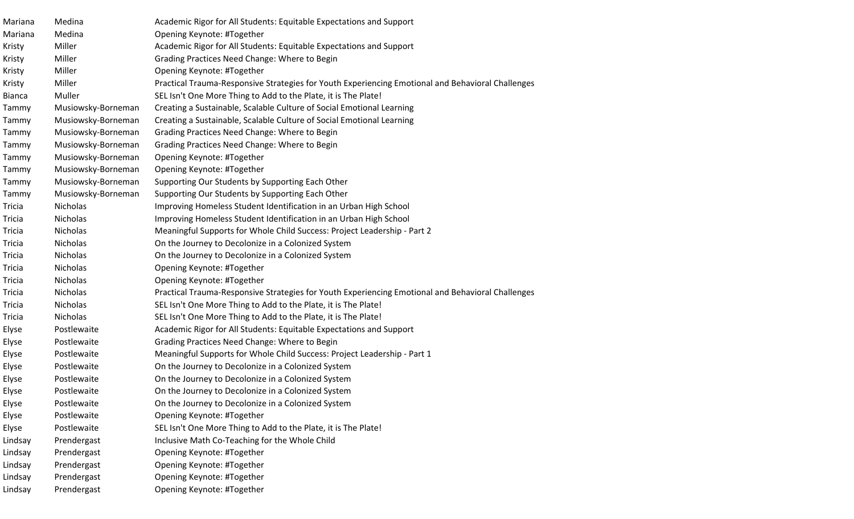| Mariana       | Medina             | Academic Rigor for All Students: Equitable Expectations and Support                               |
|---------------|--------------------|---------------------------------------------------------------------------------------------------|
| Mariana       | Medina             | Opening Keynote: #Together                                                                        |
| Kristy        | Miller             | Academic Rigor for All Students: Equitable Expectations and Support                               |
| Kristy        | Miller             | Grading Practices Need Change: Where to Begin                                                     |
| Kristy        | Miller             | Opening Keynote: #Together                                                                        |
| Kristy        | Miller             | Practical Trauma-Responsive Strategies for Youth Experiencing Emotional and Behavioral Challenges |
| <b>Bianca</b> | Muller             | SEL Isn't One More Thing to Add to the Plate, it is The Plate!                                    |
| Tammy         | Musiowsky-Borneman | Creating a Sustainable, Scalable Culture of Social Emotional Learning                             |
| Tammy         | Musiowsky-Borneman | Creating a Sustainable, Scalable Culture of Social Emotional Learning                             |
| Tammy         | Musiowsky-Borneman | Grading Practices Need Change: Where to Begin                                                     |
| Tammy         | Musiowsky-Borneman | Grading Practices Need Change: Where to Begin                                                     |
| Tammy         | Musiowsky-Borneman | Opening Keynote: #Together                                                                        |
| Tammy         | Musiowsky-Borneman | Opening Keynote: #Together                                                                        |
| Tammy         | Musiowsky-Borneman | Supporting Our Students by Supporting Each Other                                                  |
| Tammy         | Musiowsky-Borneman | Supporting Our Students by Supporting Each Other                                                  |
| <b>Tricia</b> | Nicholas           | Improving Homeless Student Identification in an Urban High School                                 |
| Tricia        | Nicholas           | Improving Homeless Student Identification in an Urban High School                                 |
| <b>Tricia</b> | Nicholas           | Meaningful Supports for Whole Child Success: Project Leadership - Part 2                          |
| <b>Tricia</b> | Nicholas           | On the Journey to Decolonize in a Colonized System                                                |
| <b>Tricia</b> | Nicholas           | On the Journey to Decolonize in a Colonized System                                                |
| <b>Tricia</b> | Nicholas           | Opening Keynote: #Together                                                                        |
| Tricia        | Nicholas           | Opening Keynote: #Together                                                                        |
| <b>Tricia</b> | Nicholas           | Practical Trauma-Responsive Strategies for Youth Experiencing Emotional and Behavioral Challenges |
| Tricia        | Nicholas           | SEL Isn't One More Thing to Add to the Plate, it is The Plate!                                    |
| Tricia        | Nicholas           | SEL Isn't One More Thing to Add to the Plate, it is The Plate!                                    |
| Elyse         | Postlewaite        | Academic Rigor for All Students: Equitable Expectations and Support                               |
| Elyse         | Postlewaite        | Grading Practices Need Change: Where to Begin                                                     |
| Elyse         | Postlewaite        | Meaningful Supports for Whole Child Success: Project Leadership - Part 1                          |
| Elyse         | Postlewaite        | On the Journey to Decolonize in a Colonized System                                                |
| Elyse         | Postlewaite        | On the Journey to Decolonize in a Colonized System                                                |
| Elyse         | Postlewaite        | On the Journey to Decolonize in a Colonized System                                                |
| Elyse         | Postlewaite        | On the Journey to Decolonize in a Colonized System                                                |
| Elyse         | Postlewaite        | Opening Keynote: #Together                                                                        |
| Elyse         | Postlewaite        | SEL Isn't One More Thing to Add to the Plate, it is The Plate!                                    |
| Lindsay       | Prendergast        | Inclusive Math Co-Teaching for the Whole Child                                                    |
| Lindsay       | Prendergast        | Opening Keynote: #Together                                                                        |
| Lindsay       | Prendergast        | Opening Keynote: #Together                                                                        |
| Lindsay       | Prendergast        | Opening Keynote: #Together                                                                        |
| Lindsay       | Prendergast        | Opening Keynote: #Together                                                                        |
|               |                    |                                                                                                   |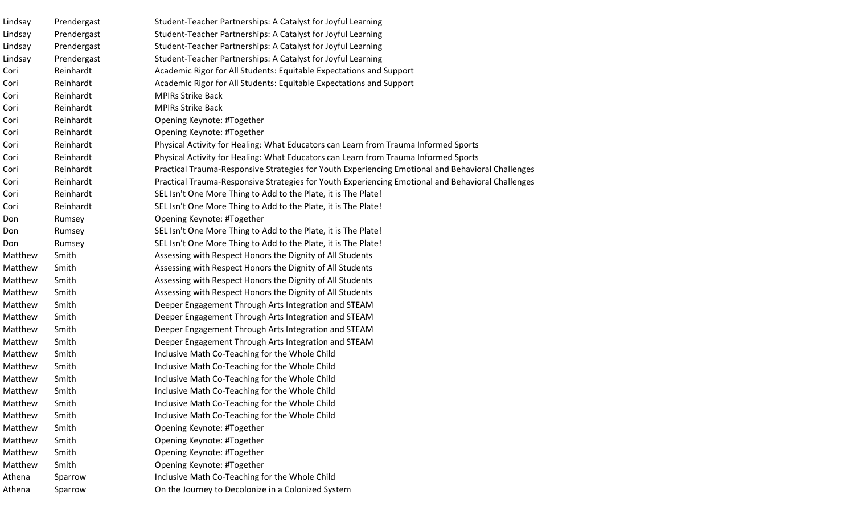| Lindsay | Prendergast | Student-Teacher Partnerships: A Catalyst for Joyful Learning                                      |
|---------|-------------|---------------------------------------------------------------------------------------------------|
| Lindsay | Prendergast | Student-Teacher Partnerships: A Catalyst for Joyful Learning                                      |
| Lindsay | Prendergast | Student-Teacher Partnerships: A Catalyst for Joyful Learning                                      |
| Lindsay | Prendergast | Student-Teacher Partnerships: A Catalyst for Joyful Learning                                      |
| Cori    | Reinhardt   | Academic Rigor for All Students: Equitable Expectations and Support                               |
| Cori    | Reinhardt   | Academic Rigor for All Students: Equitable Expectations and Support                               |
| Cori    | Reinhardt   | <b>MPIRs Strike Back</b>                                                                          |
| Cori    | Reinhardt   | <b>MPIRs Strike Back</b>                                                                          |
| Cori    | Reinhardt   | Opening Keynote: #Together                                                                        |
| Cori    | Reinhardt   | Opening Keynote: #Together                                                                        |
| Cori    | Reinhardt   | Physical Activity for Healing: What Educators can Learn from Trauma Informed Sports               |
| Cori    | Reinhardt   | Physical Activity for Healing: What Educators can Learn from Trauma Informed Sports               |
| Cori    | Reinhardt   | Practical Trauma-Responsive Strategies for Youth Experiencing Emotional and Behavioral Challenges |
| Cori    | Reinhardt   | Practical Trauma-Responsive Strategies for Youth Experiencing Emotional and Behavioral Challenges |
| Cori    | Reinhardt   | SEL Isn't One More Thing to Add to the Plate, it is The Plate!                                    |
| Cori    | Reinhardt   | SEL Isn't One More Thing to Add to the Plate, it is The Plate!                                    |
| Don     | Rumsey      | Opening Keynote: #Together                                                                        |
| Don     | Rumsey      | SEL Isn't One More Thing to Add to the Plate, it is The Plate!                                    |
| Don     | Rumsey      | SEL Isn't One More Thing to Add to the Plate, it is The Plate!                                    |
| Matthew | Smith       | Assessing with Respect Honors the Dignity of All Students                                         |
| Matthew | Smith       | Assessing with Respect Honors the Dignity of All Students                                         |
| Matthew | Smith       | Assessing with Respect Honors the Dignity of All Students                                         |
| Matthew | Smith       | Assessing with Respect Honors the Dignity of All Students                                         |
| Matthew | Smith       | Deeper Engagement Through Arts Integration and STEAM                                              |
| Matthew | Smith       | Deeper Engagement Through Arts Integration and STEAM                                              |
| Matthew | Smith       | Deeper Engagement Through Arts Integration and STEAM                                              |
| Matthew | Smith       | Deeper Engagement Through Arts Integration and STEAM                                              |
| Matthew | Smith       | Inclusive Math Co-Teaching for the Whole Child                                                    |
| Matthew | Smith       | Inclusive Math Co-Teaching for the Whole Child                                                    |
| Matthew | Smith       | Inclusive Math Co-Teaching for the Whole Child                                                    |
| Matthew | Smith       | Inclusive Math Co-Teaching for the Whole Child                                                    |
| Matthew | Smith       | Inclusive Math Co-Teaching for the Whole Child                                                    |
| Matthew | Smith       | Inclusive Math Co-Teaching for the Whole Child                                                    |
| Matthew | Smith       | Opening Keynote: #Together                                                                        |
| Matthew | Smith       | Opening Keynote: #Together                                                                        |
| Matthew | Smith       | Opening Keynote: #Together                                                                        |
| Matthew | Smith       | Opening Keynote: #Together                                                                        |
| Athena  | Sparrow     | Inclusive Math Co-Teaching for the Whole Child                                                    |
| Athena  | Sparrow     | On the Journey to Decolonize in a Colonized System                                                |
|         |             |                                                                                                   |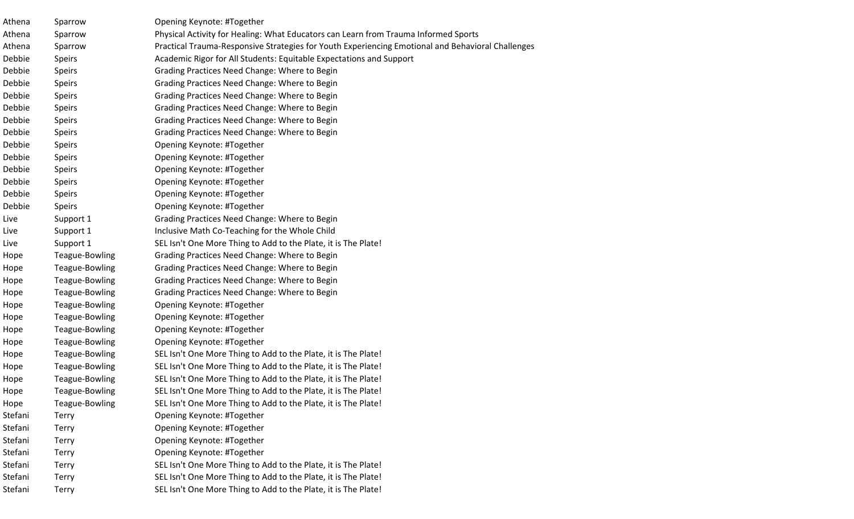| Athena  | Sparrow        | Opening Keynote: #Together                                                                        |
|---------|----------------|---------------------------------------------------------------------------------------------------|
| Athena  | Sparrow        | Physical Activity for Healing: What Educators can Learn from Trauma Informed Sports               |
| Athena  | Sparrow        | Practical Trauma-Responsive Strategies for Youth Experiencing Emotional and Behavioral Challenges |
| Debbie  | <b>Speirs</b>  | Academic Rigor for All Students: Equitable Expectations and Support                               |
| Debbie  | <b>Speirs</b>  | Grading Practices Need Change: Where to Begin                                                     |
| Debbie  | <b>Speirs</b>  | Grading Practices Need Change: Where to Begin                                                     |
| Debbie  | <b>Speirs</b>  | Grading Practices Need Change: Where to Begin                                                     |
| Debbie  | <b>Speirs</b>  | Grading Practices Need Change: Where to Begin                                                     |
| Debbie  | <b>Speirs</b>  | Grading Practices Need Change: Where to Begin                                                     |
| Debbie  | <b>Speirs</b>  | Grading Practices Need Change: Where to Begin                                                     |
| Debbie  | <b>Speirs</b>  | Opening Keynote: #Together                                                                        |
| Debbie  | <b>Speirs</b>  | Opening Keynote: #Together                                                                        |
| Debbie  | <b>Speirs</b>  | Opening Keynote: #Together                                                                        |
| Debbie  | <b>Speirs</b>  | Opening Keynote: #Together                                                                        |
| Debbie  | <b>Speirs</b>  | Opening Keynote: #Together                                                                        |
| Debbie  | <b>Speirs</b>  | Opening Keynote: #Together                                                                        |
| Live    | Support 1      | Grading Practices Need Change: Where to Begin                                                     |
| Live    | Support 1      | Inclusive Math Co-Teaching for the Whole Child                                                    |
| Live    | Support 1      | SEL Isn't One More Thing to Add to the Plate, it is The Plate!                                    |
| Hope    | Teague-Bowling | Grading Practices Need Change: Where to Begin                                                     |
| Hope    | Teague-Bowling | Grading Practices Need Change: Where to Begin                                                     |
| Hope    | Teague-Bowling | Grading Practices Need Change: Where to Begin                                                     |
| Hope    | Teague-Bowling | Grading Practices Need Change: Where to Begin                                                     |
| Hope    | Teague-Bowling | Opening Keynote: #Together                                                                        |
| Hope    | Teague-Bowling | Opening Keynote: #Together                                                                        |
| Hope    | Teague-Bowling | Opening Keynote: #Together                                                                        |
| Hope    | Teague-Bowling | Opening Keynote: #Together                                                                        |
| Hope    | Teague-Bowling | SEL Isn't One More Thing to Add to the Plate, it is The Plate!                                    |
| Hope    | Teague-Bowling | SEL Isn't One More Thing to Add to the Plate, it is The Plate!                                    |
| Hope    | Teague-Bowling | SEL Isn't One More Thing to Add to the Plate, it is The Plate!                                    |
| Hope    | Teague-Bowling | SEL Isn't One More Thing to Add to the Plate, it is The Plate!                                    |
| Hope    | Teague-Bowling | SEL Isn't One More Thing to Add to the Plate, it is The Plate!                                    |
| Stefani | <b>Terry</b>   | Opening Keynote: #Together                                                                        |
| Stefani | Terry          | Opening Keynote: #Together                                                                        |
| Stefani | Terry          | Opening Keynote: #Together                                                                        |
| Stefani | <b>Terry</b>   | Opening Keynote: #Together                                                                        |
| Stefani | Terry          | SEL Isn't One More Thing to Add to the Plate, it is The Plate!                                    |
| Stefani | Terry          | SEL Isn't One More Thing to Add to the Plate, it is The Plate!                                    |
| Stefani | Terry          | SEL Isn't One More Thing to Add to the Plate, it is The Plate!                                    |
|         |                |                                                                                                   |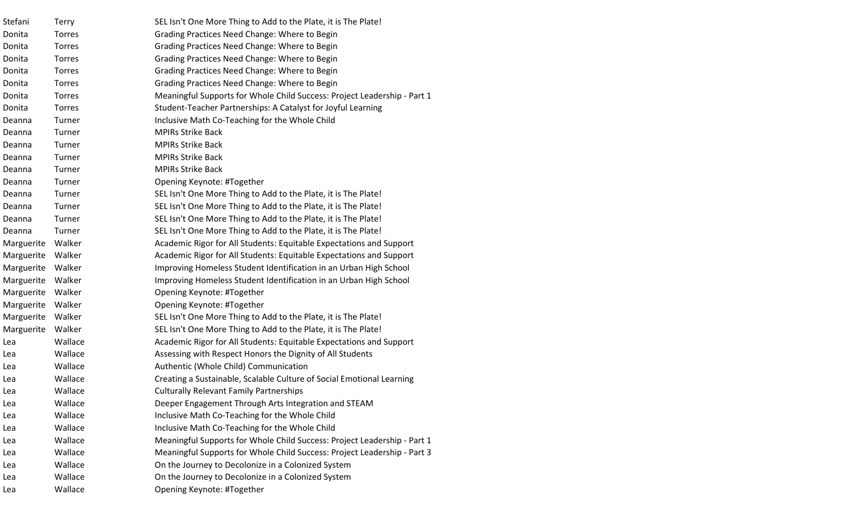| Stefani    | Terry         | SEL Isn't One More Thing to Add to the Plate, it is The Plate!           |
|------------|---------------|--------------------------------------------------------------------------|
| Donita     | Torres        | Grading Practices Need Change: Where to Begin                            |
| Donita     | Torres        | Grading Practices Need Change: Where to Begin                            |
| Donita     | Torres        | Grading Practices Need Change: Where to Begin                            |
| Donita     | Torres        | Grading Practices Need Change: Where to Begin                            |
| Donita     | <b>Torres</b> | Grading Practices Need Change: Where to Begin                            |
| Donita     | Torres        | Meaningful Supports for Whole Child Success: Project Leadership - Part 1 |
| Donita     | Torres        | Student-Teacher Partnerships: A Catalyst for Joyful Learning             |
| Deanna     | Turner        | Inclusive Math Co-Teaching for the Whole Child                           |
| Deanna     | Turner        | <b>MPIRs Strike Back</b>                                                 |
| Deanna     | Turner        | <b>MPIRs Strike Back</b>                                                 |
| Deanna     | Turner        | <b>MPIRs Strike Back</b>                                                 |
| Deanna     | Turner        | <b>MPIRs Strike Back</b>                                                 |
| Deanna     | Turner        | Opening Keynote: #Together                                               |
| Deanna     | Turner        | SEL Isn't One More Thing to Add to the Plate, it is The Plate!           |
| Deanna     | Turner        | SEL Isn't One More Thing to Add to the Plate, it is The Plate!           |
| Deanna     | Turner        | SEL Isn't One More Thing to Add to the Plate, it is The Plate!           |
| Deanna     | Turner        | SEL Isn't One More Thing to Add to the Plate, it is The Plate!           |
| Marguerite | Walker        | Academic Rigor for All Students: Equitable Expectations and Support      |
| Marguerite | Walker        | Academic Rigor for All Students: Equitable Expectations and Support      |
| Marguerite | Walker        | Improving Homeless Student Identification in an Urban High School        |
| Marguerite | Walker        | Improving Homeless Student Identification in an Urban High School        |
| Marguerite | Walker        | Opening Keynote: #Together                                               |
| Marguerite | Walker        | Opening Keynote: #Together                                               |
| Marguerite | Walker        | SEL Isn't One More Thing to Add to the Plate, it is The Plate!           |
| Marguerite | Walker        | SEL Isn't One More Thing to Add to the Plate, it is The Plate!           |
| Lea        | Wallace       | Academic Rigor for All Students: Equitable Expectations and Support      |
| Lea        | Wallace       | Assessing with Respect Honors the Dignity of All Students                |
| Lea        | Wallace       | Authentic (Whole Child) Communication                                    |
| Lea        | Wallace       | Creating a Sustainable, Scalable Culture of Social Emotional Learning    |
| Lea        | Wallace       | <b>Culturally Relevant Family Partnerships</b>                           |
| Lea        | Wallace       | Deeper Engagement Through Arts Integration and STEAM                     |
| Lea        | Wallace       | Inclusive Math Co-Teaching for the Whole Child                           |
| Lea        | Wallace       | Inclusive Math Co-Teaching for the Whole Child                           |
| Lea        | Wallace       | Meaningful Supports for Whole Child Success: Project Leadership - Part 1 |
| Lea        | Wallace       | Meaningful Supports for Whole Child Success: Project Leadership - Part 3 |
| Lea        | Wallace       | On the Journey to Decolonize in a Colonized System                       |
| Lea        | Wallace       | On the Journey to Decolonize in a Colonized System                       |
| Lea        | Wallace       | Opening Keynote: #Together                                               |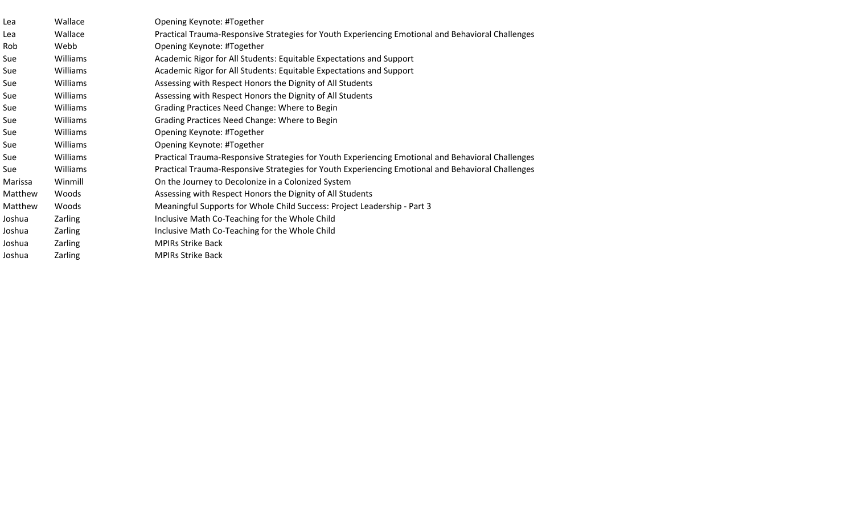| Lea     | Wallace  | Opening Keynote: #Together                                                                        |
|---------|----------|---------------------------------------------------------------------------------------------------|
| Lea     | Wallace  | Practical Trauma-Responsive Strategies for Youth Experiencing Emotional and Behavioral Challenges |
| Rob     | Webb     | Opening Keynote: #Together                                                                        |
| Sue     | Williams | Academic Rigor for All Students: Equitable Expectations and Support                               |
| Sue     | Williams | Academic Rigor for All Students: Equitable Expectations and Support                               |
| Sue     | Williams | Assessing with Respect Honors the Dignity of All Students                                         |
| Sue     | Williams | Assessing with Respect Honors the Dignity of All Students                                         |
| Sue     | Williams | Grading Practices Need Change: Where to Begin                                                     |
| Sue     | Williams | Grading Practices Need Change: Where to Begin                                                     |
| Sue     | Williams | Opening Keynote: #Together                                                                        |
| Sue     | Williams | Opening Keynote: #Together                                                                        |
| Sue     | Williams | Practical Trauma-Responsive Strategies for Youth Experiencing Emotional and Behavioral Challenges |
| Sue     | Williams | Practical Trauma-Responsive Strategies for Youth Experiencing Emotional and Behavioral Challenges |
| Marissa | Winmill  | On the Journey to Decolonize in a Colonized System                                                |
| Matthew | Woods    | Assessing with Respect Honors the Dignity of All Students                                         |
| Matthew | Woods    | Meaningful Supports for Whole Child Success: Project Leadership - Part 3                          |
| Joshua  | Zarling  | Inclusive Math Co-Teaching for the Whole Child                                                    |
| Joshua  | Zarling  | Inclusive Math Co-Teaching for the Whole Child                                                    |
| Joshua  | Zarling  | <b>MPIRs Strike Back</b>                                                                          |
| Joshua  | Zarling  | <b>MPIRs Strike Back</b>                                                                          |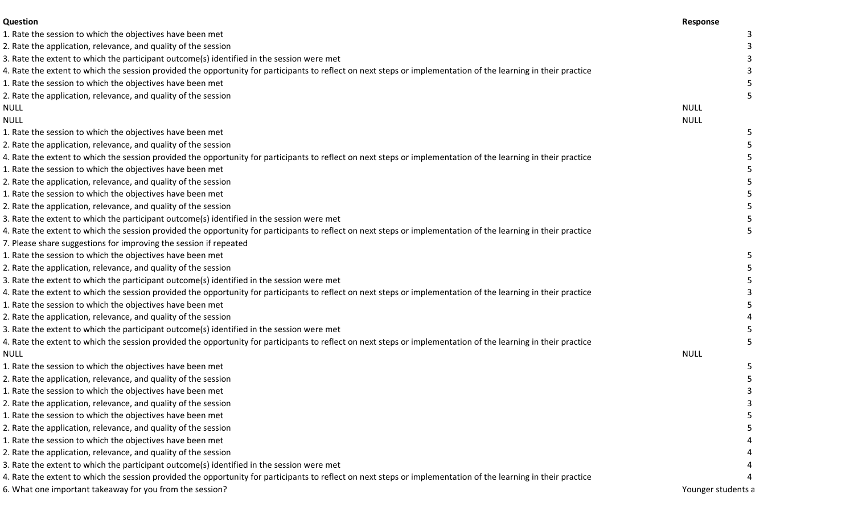| Question                                                                                                                                                       | Response           |  |
|----------------------------------------------------------------------------------------------------------------------------------------------------------------|--------------------|--|
| 1. Rate the session to which the objectives have been met                                                                                                      |                    |  |
| 2. Rate the application, relevance, and quality of the session                                                                                                 |                    |  |
| 3. Rate the extent to which the participant outcome(s) identified in the session were met                                                                      |                    |  |
| 4. Rate the extent to which the session provided the opportunity for participants to reflect on next steps or implementation of the learning in their practice |                    |  |
| 1. Rate the session to which the objectives have been met                                                                                                      |                    |  |
| 2. Rate the application, relevance, and quality of the session                                                                                                 |                    |  |
| <b>NULL</b>                                                                                                                                                    | <b>NULL</b>        |  |
| <b>NULL</b>                                                                                                                                                    | <b>NULL</b>        |  |
| 1. Rate the session to which the objectives have been met                                                                                                      |                    |  |
| 2. Rate the application, relevance, and quality of the session                                                                                                 |                    |  |
| 4. Rate the extent to which the session provided the opportunity for participants to reflect on next steps or implementation of the learning in their practice |                    |  |
| 1. Rate the session to which the objectives have been met                                                                                                      |                    |  |
| 2. Rate the application, relevance, and quality of the session                                                                                                 |                    |  |
| 1. Rate the session to which the objectives have been met                                                                                                      |                    |  |
| 2. Rate the application, relevance, and quality of the session                                                                                                 |                    |  |
| 3. Rate the extent to which the participant outcome(s) identified in the session were met                                                                      |                    |  |
| 4. Rate the extent to which the session provided the opportunity for participants to reflect on next steps or implementation of the learning in their practice |                    |  |
| 7. Please share suggestions for improving the session if repeated                                                                                              |                    |  |
| 1. Rate the session to which the objectives have been met                                                                                                      |                    |  |
| 2. Rate the application, relevance, and quality of the session                                                                                                 |                    |  |
| 3. Rate the extent to which the participant outcome(s) identified in the session were met                                                                      |                    |  |
| 4. Rate the extent to which the session provided the opportunity for participants to reflect on next steps or implementation of the learning in their practice |                    |  |
| 1. Rate the session to which the objectives have been met                                                                                                      |                    |  |
| 2. Rate the application, relevance, and quality of the session                                                                                                 |                    |  |
| 3. Rate the extent to which the participant outcome(s) identified in the session were met                                                                      |                    |  |
| 4. Rate the extent to which the session provided the opportunity for participants to reflect on next steps or implementation of the learning in their practice |                    |  |
| <b>NULL</b>                                                                                                                                                    | <b>NULL</b>        |  |
| 1. Rate the session to which the objectives have been met                                                                                                      |                    |  |
| 2. Rate the application, relevance, and quality of the session                                                                                                 |                    |  |
| 1. Rate the session to which the objectives have been met                                                                                                      |                    |  |
| 2. Rate the application, relevance, and quality of the session                                                                                                 |                    |  |
| 1. Rate the session to which the objectives have been met                                                                                                      |                    |  |
| 2. Rate the application, relevance, and quality of the session                                                                                                 |                    |  |
| 1. Rate the session to which the objectives have been met                                                                                                      |                    |  |
| 2. Rate the application, relevance, and quality of the session                                                                                                 |                    |  |
| 3. Rate the extent to which the participant outcome(s) identified in the session were met                                                                      |                    |  |
| 4. Rate the extent to which the session provided the opportunity for participants to reflect on next steps or implementation of the learning in their practice |                    |  |
| 6. What one important takeaway for you from the session?                                                                                                       | Younger students a |  |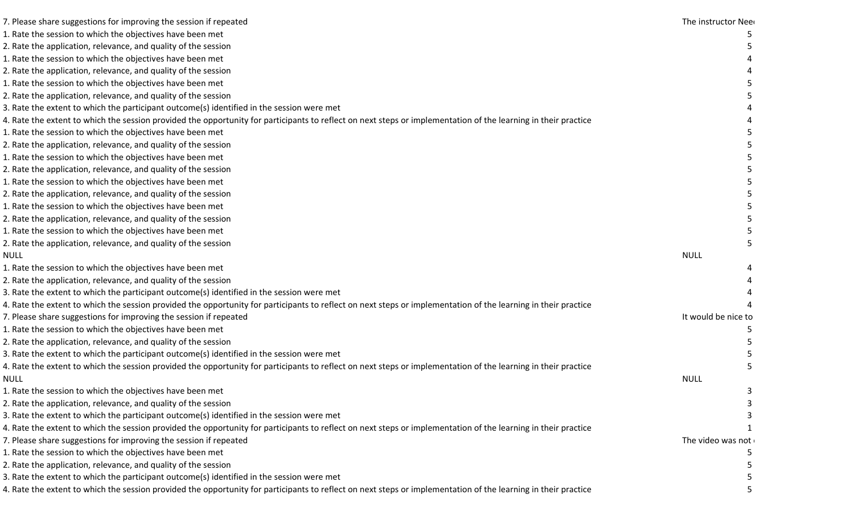| 7. Please share suggestions for improving the session if repeated                                                                                              | The instructor Neer |
|----------------------------------------------------------------------------------------------------------------------------------------------------------------|---------------------|
| 1. Rate the session to which the objectives have been met                                                                                                      |                     |
| 2. Rate the application, relevance, and quality of the session                                                                                                 |                     |
| 1. Rate the session to which the objectives have been met                                                                                                      |                     |
| 2. Rate the application, relevance, and quality of the session                                                                                                 |                     |
| 1. Rate the session to which the objectives have been met                                                                                                      |                     |
| 2. Rate the application, relevance, and quality of the session                                                                                                 |                     |
| 3. Rate the extent to which the participant outcome(s) identified in the session were met                                                                      |                     |
| 4. Rate the extent to which the session provided the opportunity for participants to reflect on next steps or implementation of the learning in their practice |                     |
| 1. Rate the session to which the objectives have been met                                                                                                      |                     |
| 2. Rate the application, relevance, and quality of the session                                                                                                 |                     |
| 1. Rate the session to which the objectives have been met                                                                                                      |                     |
| 2. Rate the application, relevance, and quality of the session                                                                                                 |                     |
| 1. Rate the session to which the objectives have been met                                                                                                      |                     |
| 2. Rate the application, relevance, and quality of the session                                                                                                 |                     |
| 1. Rate the session to which the objectives have been met                                                                                                      |                     |
| 2. Rate the application, relevance, and quality of the session                                                                                                 |                     |
| 1. Rate the session to which the objectives have been met                                                                                                      |                     |
| 2. Rate the application, relevance, and quality of the session                                                                                                 |                     |
|                                                                                                                                                                | <b>NULL</b>         |
| 1. Rate the session to which the objectives have been met                                                                                                      |                     |
| 2. Rate the application, relevance, and quality of the session                                                                                                 |                     |
| 3. Rate the extent to which the participant outcome(s) identified in the session were met                                                                      |                     |
| 4. Rate the extent to which the session provided the opportunity for participants to reflect on next steps or implementation of the learning in their practice |                     |
| 7. Please share suggestions for improving the session if repeated                                                                                              | It would be nice to |
| 1. Rate the session to which the objectives have been met                                                                                                      |                     |
| 2. Rate the application, relevance, and quality of the session                                                                                                 |                     |
| 3. Rate the extent to which the participant outcome(s) identified in the session were met                                                                      |                     |
| 1. Rate the extent to which the session provided the opportunity for participants to reflect on next steps or implementation of the learning in their practice |                     |
|                                                                                                                                                                | <b>NULL</b>         |
| 1. Rate the session to which the objectives have been met                                                                                                      |                     |
| 2. Rate the application, relevance, and quality of the session                                                                                                 |                     |
| 3. Rate the extent to which the participant outcome(s) identified in the session were met                                                                      |                     |
| 4. Rate the extent to which the session provided the opportunity for participants to reflect on next steps or implementation of the learning in their practice |                     |
| 7. Please share suggestions for improving the session if repeated                                                                                              | The video was not   |
| 1. Rate the session to which the objectives have been met                                                                                                      |                     |
| 2. Rate the application, relevance, and quality of the session                                                                                                 |                     |
| 3. Rate the extent to which the participant outcome(s) identified in the session were met                                                                      |                     |
| . Rate the extent to which the session provided the opportunity for participants to reflect on next steps or implementation of the learning in their practice  |                     |
|                                                                                                                                                                |                     |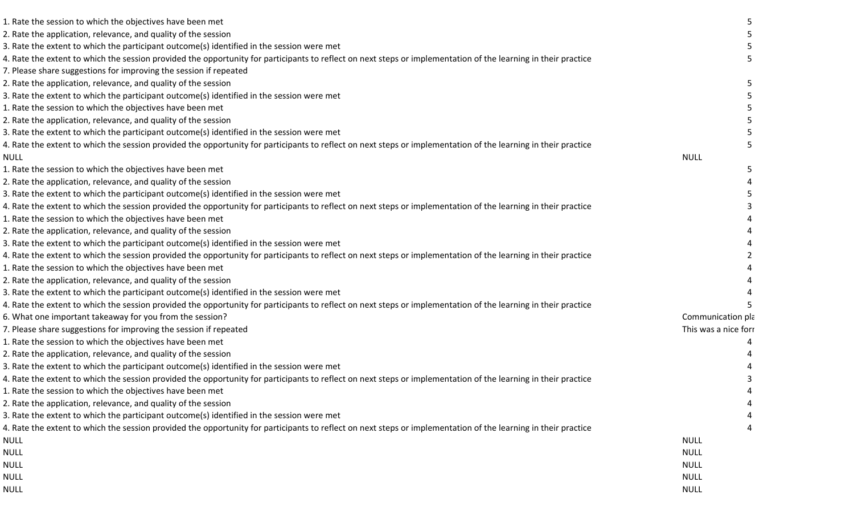| 1. Rate the session to which the objectives have been met                                                                                                      |                      |  |
|----------------------------------------------------------------------------------------------------------------------------------------------------------------|----------------------|--|
| 2. Rate the application, relevance, and quality of the session                                                                                                 |                      |  |
| 3. Rate the extent to which the participant outcome(s) identified in the session were met                                                                      |                      |  |
| 4. Rate the extent to which the session provided the opportunity for participants to reflect on next steps or implementation of the learning in their practice |                      |  |
| 7. Please share suggestions for improving the session if repeated                                                                                              |                      |  |
| 2. Rate the application, relevance, and quality of the session                                                                                                 |                      |  |
| 3. Rate the extent to which the participant outcome(s) identified in the session were met                                                                      |                      |  |
| 1. Rate the session to which the objectives have been met                                                                                                      |                      |  |
| 2. Rate the application, relevance, and quality of the session                                                                                                 |                      |  |
| 3. Rate the extent to which the participant outcome(s) identified in the session were met                                                                      |                      |  |
| 4. Rate the extent to which the session provided the opportunity for participants to reflect on next steps or implementation of the learning in their practice |                      |  |
| <b>NULL</b>                                                                                                                                                    | <b>NULL</b>          |  |
| 1. Rate the session to which the objectives have been met                                                                                                      |                      |  |
| 2. Rate the application, relevance, and quality of the session                                                                                                 |                      |  |
| 3. Rate the extent to which the participant outcome(s) identified in the session were met                                                                      |                      |  |
| 4. Rate the extent to which the session provided the opportunity for participants to reflect on next steps or implementation of the learning in their practice |                      |  |
| 1. Rate the session to which the objectives have been met                                                                                                      |                      |  |
| 2. Rate the application, relevance, and quality of the session                                                                                                 |                      |  |
| 3. Rate the extent to which the participant outcome(s) identified in the session were met                                                                      |                      |  |
| 4. Rate the extent to which the session provided the opportunity for participants to reflect on next steps or implementation of the learning in their practice |                      |  |
| 1. Rate the session to which the objectives have been met                                                                                                      |                      |  |
| 2. Rate the application, relevance, and quality of the session                                                                                                 |                      |  |
| 3. Rate the extent to which the participant outcome(s) identified in the session were met                                                                      |                      |  |
| 4. Rate the extent to which the session provided the opportunity for participants to reflect on next steps or implementation of the learning in their practice |                      |  |
| 6. What one important takeaway for you from the session?                                                                                                       | Communication pla    |  |
| 7. Please share suggestions for improving the session if repeated                                                                                              | This was a nice forr |  |
| 1. Rate the session to which the objectives have been met                                                                                                      |                      |  |
| 2. Rate the application, relevance, and quality of the session                                                                                                 |                      |  |
| 3. Rate the extent to which the participant outcome(s) identified in the session were met                                                                      |                      |  |
| 4. Rate the extent to which the session provided the opportunity for participants to reflect on next steps or implementation of the learning in their practice |                      |  |
| 1. Rate the session to which the objectives have been met                                                                                                      |                      |  |
| 2. Rate the application, relevance, and quality of the session                                                                                                 |                      |  |
| 3. Rate the extent to which the participant outcome(s) identified in the session were met                                                                      |                      |  |
| 4. Rate the extent to which the session provided the opportunity for participants to reflect on next steps or implementation of the learning in their practice |                      |  |
| <b>NULL</b>                                                                                                                                                    | <b>NULL</b>          |  |
| <b>NULL</b>                                                                                                                                                    | <b>NULL</b>          |  |
| <b>NULL</b>                                                                                                                                                    | <b>NULL</b>          |  |
| <b>NULL</b>                                                                                                                                                    | <b>NULL</b>          |  |
| <b>NULL</b>                                                                                                                                                    | <b>NULL</b>          |  |
|                                                                                                                                                                |                      |  |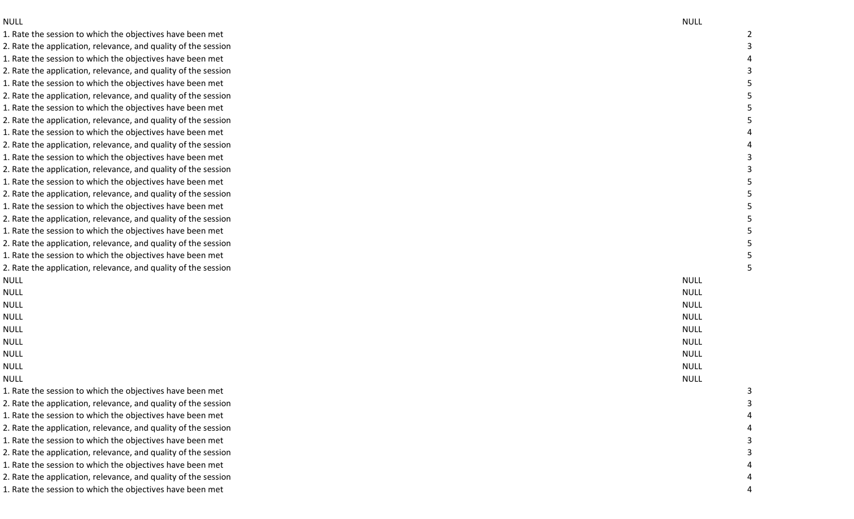NULL NULL 1. Rate the session to which the objectives have been met 2. Rate the application, relevance, and quality of the session 1. Rate the session to which the objectives have been met 2. Rate the application, relevance, and quality of the session 1. Rate the session to which the objectives have been met 2. Rate the application, relevance, and quality of the session 1. Rate the session to which the objectives have been met 2. Rate the application, relevance, and quality of the session 1. Rate the session to which the objectives have been met 2. Rate the application, relevance, and quality of the session 1. Rate the session to which the objectives have been met 2. Rate the application, relevance, and quality of the session 1. Rate the session to which the objectives have been met 2. Rate the application, relevance, and quality of the session 1. Rate the session to which the objectives have been met 2. Rate the application, relevance, and quality of the session 1. Rate the session to which the objectives have been met 2. Rate the application, relevance, and quality of the session 1. Rate the session to which the objectives have been met 2. Rate the application, relevance, and quality of the session NULL NULL NULL NULL NULL NULL NULL NULL NULL NULL NULL NULL NULL NULL NULL NULL NULL NULL 1. Rate the session to which the objectives have been met 2. Rate the application, relevance, and quality of the session 1. Rate the session to which the objectives have been met 2. Rate the application, relevance, and quality of the session 1. Rate the session to which the objectives have been met 2. Rate the application, relevance, and quality of the session 1. Rate the session to which the objectives have been met 2. Rate the application, relevance, and quality of the session 1. Rate the session to which the objectives have been met

4

2

5

4

4

3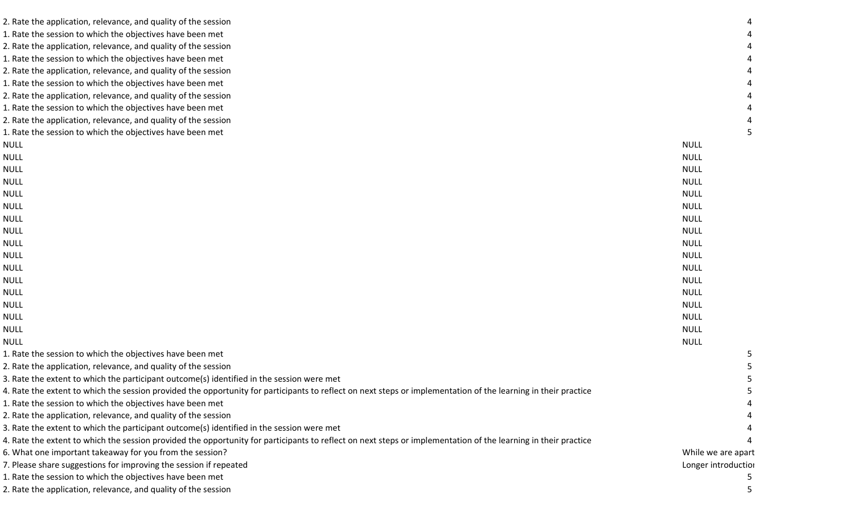| 2. Rate the application, relevance, and quality of the session                                                                                                 |                     |  |
|----------------------------------------------------------------------------------------------------------------------------------------------------------------|---------------------|--|
| 1. Rate the session to which the objectives have been met                                                                                                      |                     |  |
| 2. Rate the application, relevance, and quality of the session                                                                                                 |                     |  |
| 1. Rate the session to which the objectives have been met                                                                                                      |                     |  |
| 2. Rate the application, relevance, and quality of the session                                                                                                 |                     |  |
| 1. Rate the session to which the objectives have been met                                                                                                      |                     |  |
| 2. Rate the application, relevance, and quality of the session                                                                                                 |                     |  |
| 1. Rate the session to which the objectives have been met                                                                                                      |                     |  |
| 2. Rate the application, relevance, and quality of the session                                                                                                 |                     |  |
| 1. Rate the session to which the objectives have been met                                                                                                      |                     |  |
| <b>NULL</b>                                                                                                                                                    | <b>NULL</b>         |  |
| <b>NULL</b>                                                                                                                                                    | <b>NULL</b>         |  |
| <b>NULL</b>                                                                                                                                                    | <b>NULL</b>         |  |
| <b>NULL</b>                                                                                                                                                    | <b>NULL</b>         |  |
| <b>NULL</b>                                                                                                                                                    | <b>NULL</b>         |  |
| <b>NULL</b>                                                                                                                                                    | <b>NULL</b>         |  |
| <b>NULL</b>                                                                                                                                                    | <b>NULL</b>         |  |
| <b>NULL</b>                                                                                                                                                    | <b>NULL</b>         |  |
| <b>NULL</b>                                                                                                                                                    | <b>NULL</b>         |  |
| <b>NULL</b>                                                                                                                                                    | <b>NULL</b>         |  |
| <b>NULL</b>                                                                                                                                                    | <b>NULL</b>         |  |
| <b>NULL</b>                                                                                                                                                    | <b>NULL</b>         |  |
| <b>NULL</b>                                                                                                                                                    | <b>NULL</b>         |  |
| <b>NULL</b>                                                                                                                                                    | <b>NULL</b>         |  |
| <b>NULL</b>                                                                                                                                                    | <b>NULL</b>         |  |
| <b>NULL</b>                                                                                                                                                    | <b>NULL</b>         |  |
| <b>NULL</b>                                                                                                                                                    | <b>NULL</b>         |  |
| 1. Rate the session to which the objectives have been met                                                                                                      |                     |  |
| 2. Rate the application, relevance, and quality of the session                                                                                                 |                     |  |
| 3. Rate the extent to which the participant outcome(s) identified in the session were met                                                                      |                     |  |
| 4. Rate the extent to which the session provided the opportunity for participants to reflect on next steps or implementation of the learning in their practice |                     |  |
| 1. Rate the session to which the objectives have been met                                                                                                      |                     |  |
| 2. Rate the application, relevance, and quality of the session                                                                                                 |                     |  |
| 3. Rate the extent to which the participant outcome(s) identified in the session were met                                                                      |                     |  |
| 4. Rate the extent to which the session provided the opportunity for participants to reflect on next steps or implementation of the learning in their practice |                     |  |
| 6. What one important takeaway for you from the session?                                                                                                       | While we are apart  |  |
| 7. Please share suggestions for improving the session if repeated                                                                                              | Longer introduction |  |
| 1. Rate the session to which the objectives have been met                                                                                                      |                     |  |
| 2. Rate the application, relevance, and quality of the session                                                                                                 |                     |  |
|                                                                                                                                                                |                     |  |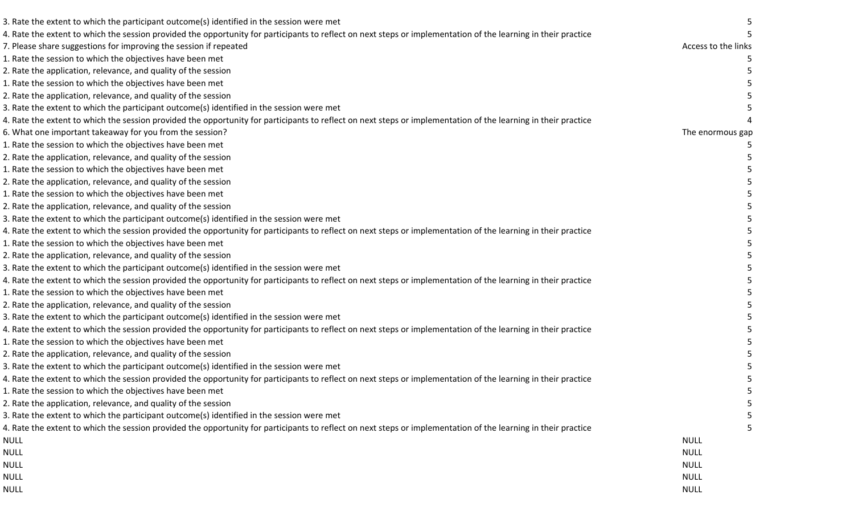| 3. Rate the extent to which the participant outcome(s) identified in the session were met                                                                      |                     |  |
|----------------------------------------------------------------------------------------------------------------------------------------------------------------|---------------------|--|
| 4. Rate the extent to which the session provided the opportunity for participants to reflect on next steps or implementation of the learning in their practice |                     |  |
| 7. Please share suggestions for improving the session if repeated                                                                                              | Access to the links |  |
| 1. Rate the session to which the objectives have been met                                                                                                      |                     |  |
| 2. Rate the application, relevance, and quality of the session                                                                                                 |                     |  |
| 1. Rate the session to which the objectives have been met                                                                                                      |                     |  |
| 2. Rate the application, relevance, and quality of the session                                                                                                 |                     |  |
| 3. Rate the extent to which the participant outcome(s) identified in the session were met                                                                      |                     |  |
| 4. Rate the extent to which the session provided the opportunity for participants to reflect on next steps or implementation of the learning in their practice |                     |  |
| 6. What one important takeaway for you from the session?                                                                                                       | The enormous gap    |  |
| 1. Rate the session to which the objectives have been met                                                                                                      |                     |  |
| 2. Rate the application, relevance, and quality of the session                                                                                                 |                     |  |
| 1. Rate the session to which the objectives have been met                                                                                                      |                     |  |
| 2. Rate the application, relevance, and quality of the session                                                                                                 |                     |  |
| 1. Rate the session to which the objectives have been met                                                                                                      |                     |  |
| 2. Rate the application, relevance, and quality of the session                                                                                                 |                     |  |
| 3. Rate the extent to which the participant outcome(s) identified in the session were met                                                                      |                     |  |
| 4. Rate the extent to which the session provided the opportunity for participants to reflect on next steps or implementation of the learning in their practice |                     |  |
| 1. Rate the session to which the objectives have been met                                                                                                      |                     |  |
| 2. Rate the application, relevance, and quality of the session                                                                                                 |                     |  |
| 3. Rate the extent to which the participant outcome(s) identified in the session were met                                                                      |                     |  |
| 4. Rate the extent to which the session provided the opportunity for participants to reflect on next steps or implementation of the learning in their practice |                     |  |
| 1. Rate the session to which the objectives have been met                                                                                                      |                     |  |
| 2. Rate the application, relevance, and quality of the session                                                                                                 |                     |  |
| 3. Rate the extent to which the participant outcome(s) identified in the session were met                                                                      |                     |  |
| 4. Rate the extent to which the session provided the opportunity for participants to reflect on next steps or implementation of the learning in their practice |                     |  |
| 1. Rate the session to which the objectives have been met                                                                                                      |                     |  |
| 2. Rate the application, relevance, and quality of the session                                                                                                 |                     |  |
| 3. Rate the extent to which the participant outcome(s) identified in the session were met                                                                      |                     |  |
| 4. Rate the extent to which the session provided the opportunity for participants to reflect on next steps or implementation of the learning in their practice |                     |  |
| L. Rate the session to which the objectives have been met                                                                                                      |                     |  |
| 2. Rate the application, relevance, and quality of the session                                                                                                 |                     |  |
| 3. Rate the extent to which the participant outcome(s) identified in the session were met                                                                      |                     |  |
| 4. Rate the extent to which the session provided the opportunity for participants to reflect on next steps or implementation of the learning in their practice |                     |  |
| NULL                                                                                                                                                           | <b>NULL</b>         |  |
| <b>NULL</b>                                                                                                                                                    | <b>NULL</b>         |  |
| <b>NULL</b>                                                                                                                                                    | <b>NULL</b>         |  |
| <b>NULL</b>                                                                                                                                                    | <b>NULL</b>         |  |
| <b>NULL</b>                                                                                                                                                    | <b>NULL</b>         |  |
|                                                                                                                                                                |                     |  |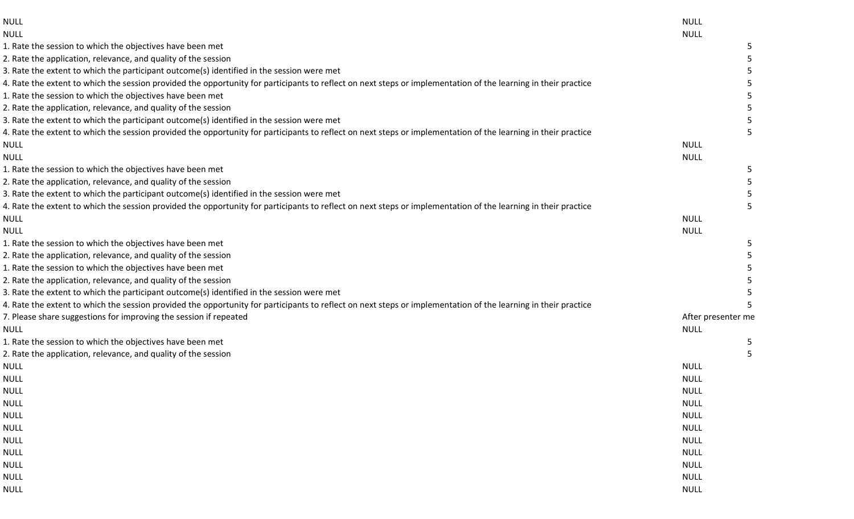| NULL                                                                                                                                                           | <b>NULL</b>        |
|----------------------------------------------------------------------------------------------------------------------------------------------------------------|--------------------|
| NULL                                                                                                                                                           | <b>NULL</b>        |
| 1. Rate the session to which the objectives have been met                                                                                                      |                    |
| 2. Rate the application, relevance, and quality of the session                                                                                                 |                    |
| 3. Rate the extent to which the participant outcome(s) identified in the session were met                                                                      |                    |
| 4. Rate the extent to which the session provided the opportunity for participants to reflect on next steps or implementation of the learning in their practice |                    |
| 1. Rate the session to which the objectives have been met                                                                                                      |                    |
| 2. Rate the application, relevance, and quality of the session                                                                                                 |                    |
| 3. Rate the extent to which the participant outcome(s) identified in the session were met                                                                      |                    |
| 4. Rate the extent to which the session provided the opportunity for participants to reflect on next steps or implementation of the learning in their practice |                    |
| NULL                                                                                                                                                           | <b>NULL</b>        |
| <b>NULL</b>                                                                                                                                                    | <b>NULL</b>        |
| 1. Rate the session to which the objectives have been met                                                                                                      |                    |
| 2. Rate the application, relevance, and quality of the session                                                                                                 |                    |
| 3. Rate the extent to which the participant outcome(s) identified in the session were met                                                                      |                    |
| 4. Rate the extent to which the session provided the opportunity for participants to reflect on next steps or implementation of the learning in their practice |                    |
| NULL                                                                                                                                                           | <b>NULL</b>        |
| <b>NULL</b>                                                                                                                                                    | <b>NULL</b>        |
| 1. Rate the session to which the objectives have been met                                                                                                      |                    |
| 2. Rate the application, relevance, and quality of the session                                                                                                 |                    |
| 1. Rate the session to which the objectives have been met                                                                                                      |                    |
| 2. Rate the application, relevance, and quality of the session                                                                                                 |                    |
| 3. Rate the extent to which the participant outcome(s) identified in the session were met                                                                      |                    |
| 4. Rate the extent to which the session provided the opportunity for participants to reflect on next steps or implementation of the learning in their practice |                    |
| 7. Please share suggestions for improving the session if repeated                                                                                              | After presenter me |
| <b>NULL</b>                                                                                                                                                    | <b>NULL</b>        |
| 1. Rate the session to which the objectives have been met                                                                                                      |                    |
| 2. Rate the application, relevance, and quality of the session                                                                                                 |                    |
| NULL                                                                                                                                                           | <b>NULL</b>        |
|                                                                                                                                                                | NULL.              |
| <b>NULL</b>                                                                                                                                                    | <b>NULL</b>        |
| <b>NULL</b>                                                                                                                                                    | <b>NULL</b>        |
| $\ensuremath{\mathsf{NULL}}$                                                                                                                                   | <b>NULL</b>        |
| <b>NULL</b>                                                                                                                                                    | <b>NULL</b>        |
| <b>NULL</b>                                                                                                                                                    | <b>NULL</b>        |
| NULL                                                                                                                                                           | <b>NULL</b>        |
| <b>NULL</b>                                                                                                                                                    | <b>NULL</b>        |
| $\ensuremath{\mathsf{NULL}}$                                                                                                                                   | <b>NULL</b>        |
| NULL                                                                                                                                                           | <b>NULL</b>        |
|                                                                                                                                                                |                    |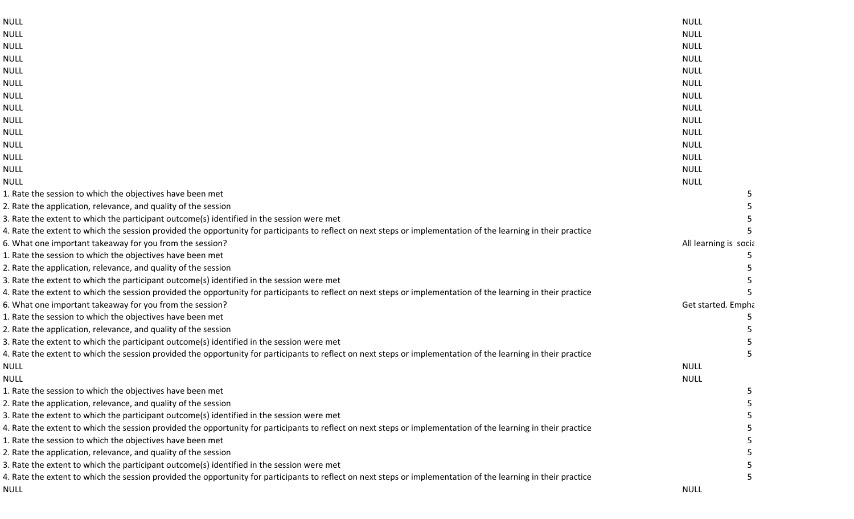| <b>NULL</b>                                                                                                                                                    | <b>NULL</b>           |  |
|----------------------------------------------------------------------------------------------------------------------------------------------------------------|-----------------------|--|
| <b>NULL</b>                                                                                                                                                    | <b>NULL</b>           |  |
| <b>NULL</b>                                                                                                                                                    | <b>NULL</b>           |  |
| <b>NULL</b>                                                                                                                                                    | <b>NULL</b>           |  |
| <b>NULL</b>                                                                                                                                                    | <b>NULL</b>           |  |
| <b>NULL</b>                                                                                                                                                    | <b>NULL</b>           |  |
| <b>NULL</b>                                                                                                                                                    | <b>NULL</b>           |  |
| <b>NULL</b>                                                                                                                                                    | <b>NULL</b>           |  |
| <b>NULL</b>                                                                                                                                                    | <b>NULL</b>           |  |
| <b>NULL</b>                                                                                                                                                    | <b>NULL</b>           |  |
| <b>NULL</b>                                                                                                                                                    | <b>NULL</b>           |  |
| <b>NULL</b>                                                                                                                                                    | <b>NULL</b>           |  |
| <b>NULL</b>                                                                                                                                                    | <b>NULL</b>           |  |
| <b>NULL</b>                                                                                                                                                    | <b>NULL</b>           |  |
| 1. Rate the session to which the objectives have been met                                                                                                      |                       |  |
| 2. Rate the application, relevance, and quality of the session                                                                                                 |                       |  |
| 3. Rate the extent to which the participant outcome(s) identified in the session were met                                                                      |                       |  |
| 4. Rate the extent to which the session provided the opportunity for participants to reflect on next steps or implementation of the learning in their practice |                       |  |
| 6. What one important takeaway for you from the session?                                                                                                       | All learning is socia |  |
| 1. Rate the session to which the objectives have been met                                                                                                      |                       |  |
| 2. Rate the application, relevance, and quality of the session                                                                                                 |                       |  |
| 3. Rate the extent to which the participant outcome(s) identified in the session were met                                                                      |                       |  |
| 4. Rate the extent to which the session provided the opportunity for participants to reflect on next steps or implementation of the learning in their practice |                       |  |
| 6. What one important takeaway for you from the session?                                                                                                       | Get started. Empha    |  |
| 1. Rate the session to which the objectives have been met                                                                                                      |                       |  |
| 2. Rate the application, relevance, and quality of the session                                                                                                 |                       |  |
| 3. Rate the extent to which the participant outcome(s) identified in the session were met                                                                      |                       |  |
| 4. Rate the extent to which the session provided the opportunity for participants to reflect on next steps or implementation of the learning in their practice |                       |  |
| <b>NULL</b>                                                                                                                                                    | <b>NULL</b>           |  |
| <b>NULL</b>                                                                                                                                                    | <b>NULL</b>           |  |
| 1. Rate the session to which the objectives have been met                                                                                                      |                       |  |
| 2. Rate the application, relevance, and quality of the session                                                                                                 |                       |  |
| 3. Rate the extent to which the participant outcome(s) identified in the session were met                                                                      |                       |  |
| 4. Rate the extent to which the session provided the opportunity for participants to reflect on next steps or implementation of the learning in their practice |                       |  |
| 1. Rate the session to which the objectives have been met                                                                                                      |                       |  |
| 2. Rate the application, relevance, and quality of the session                                                                                                 |                       |  |
| 3. Rate the extent to which the participant outcome(s) identified in the session were met                                                                      |                       |  |
| 4. Rate the extent to which the session provided the opportunity for participants to reflect on next steps or implementation of the learning in their practice |                       |  |
| NULL                                                                                                                                                           | <b>NULL</b>           |  |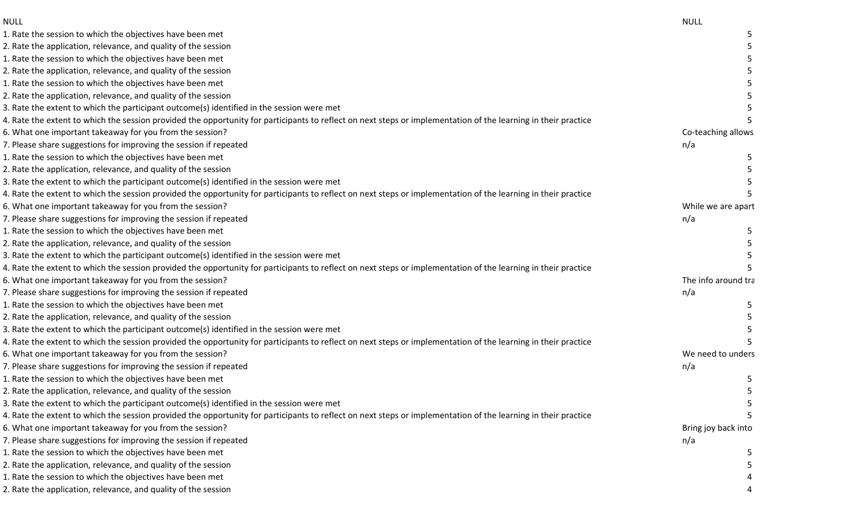| <b>NULL</b>                                                                                                                                                    | <b>NULL</b>         |
|----------------------------------------------------------------------------------------------------------------------------------------------------------------|---------------------|
| 1. Rate the session to which the objectives have been met                                                                                                      |                     |
| 2. Rate the application, relevance, and quality of the session                                                                                                 |                     |
| 1. Rate the session to which the objectives have been met                                                                                                      |                     |
| 2. Rate the application, relevance, and quality of the session                                                                                                 |                     |
| 1. Rate the session to which the objectives have been met                                                                                                      |                     |
| 2. Rate the application, relevance, and quality of the session                                                                                                 |                     |
| 3. Rate the extent to which the participant outcome(s) identified in the session were met                                                                      |                     |
| 4. Rate the extent to which the session provided the opportunity for participants to reflect on next steps or implementation of the learning in their practice |                     |
| 6. What one important takeaway for you from the session?                                                                                                       | Co-teaching allows  |
| 7. Please share suggestions for improving the session if repeated                                                                                              | n/a                 |
| 1. Rate the session to which the objectives have been met                                                                                                      |                     |
| 2. Rate the application, relevance, and quality of the session                                                                                                 |                     |
| 3. Rate the extent to which the participant outcome(s) identified in the session were met                                                                      |                     |
| 4. Rate the extent to which the session provided the opportunity for participants to reflect on next steps or implementation of the learning in their practice |                     |
| 6. What one important takeaway for you from the session?                                                                                                       | While we are apart  |
| 7. Please share suggestions for improving the session if repeated                                                                                              | n/a                 |
| L. Rate the session to which the objectives have been met                                                                                                      |                     |
| 2. Rate the application, relevance, and quality of the session                                                                                                 |                     |
| 3. Rate the extent to which the participant outcome(s) identified in the session were met                                                                      |                     |
| 4. Rate the extent to which the session provided the opportunity for participants to reflect on next steps or implementation of the learning in their practice |                     |
| 6. What one important takeaway for you from the session?                                                                                                       | The info around tra |
| 7. Please share suggestions for improving the session if repeated                                                                                              | n/a                 |
| 1. Rate the session to which the objectives have been met                                                                                                      |                     |
| 2. Rate the application, relevance, and quality of the session                                                                                                 |                     |
| 3. Rate the extent to which the participant outcome(s) identified in the session were met                                                                      |                     |
| 4. Rate the extent to which the session provided the opportunity for participants to reflect on next steps or implementation of the learning in their practice |                     |
| 6. What one important takeaway for you from the session?                                                                                                       | We need to unders   |
| 7. Please share suggestions for improving the session if repeated                                                                                              | n/a                 |
| L. Rate the session to which the objectives have been met                                                                                                      |                     |
| 2. Rate the application, relevance, and quality of the session                                                                                                 |                     |
| 3. Rate the extent to which the participant outcome(s) identified in the session were met                                                                      |                     |
| 4. Rate the extent to which the session provided the opportunity for participants to reflect on next steps or implementation of the learning in their practice |                     |
| 6. What one important takeaway for you from the session?                                                                                                       | Bring joy back into |
| 7. Please share suggestions for improving the session if repeated                                                                                              | n/a                 |
| 1. Rate the session to which the objectives have been met                                                                                                      |                     |
| 2. Rate the application, relevance, and quality of the session                                                                                                 |                     |
| 1. Rate the session to which the objectives have been met                                                                                                      |                     |
| 2. Rate the application, relevance, and quality of the session                                                                                                 |                     |
|                                                                                                                                                                |                     |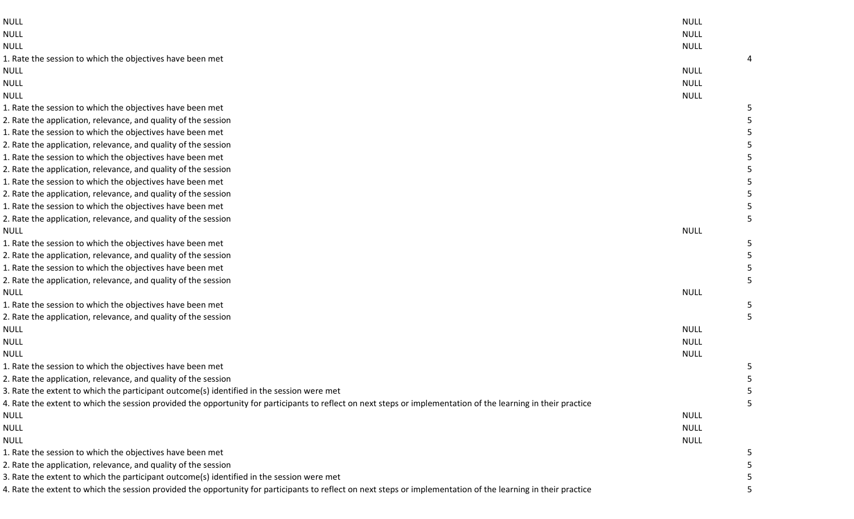| <b>NULL</b>                                                                                                                                                    | <b>NULL</b> |   |
|----------------------------------------------------------------------------------------------------------------------------------------------------------------|-------------|---|
| <b>NULL</b>                                                                                                                                                    | <b>NULL</b> |   |
| <b>NULL</b>                                                                                                                                                    | <b>NULL</b> |   |
| 1. Rate the session to which the objectives have been met                                                                                                      |             | 4 |
| <b>NULL</b>                                                                                                                                                    | <b>NULL</b> |   |
| <b>NULL</b>                                                                                                                                                    | <b>NULL</b> |   |
| <b>NULL</b>                                                                                                                                                    | <b>NULL</b> |   |
| 1. Rate the session to which the objectives have been met                                                                                                      |             | 5 |
| 2. Rate the application, relevance, and quality of the session                                                                                                 |             |   |
| 1. Rate the session to which the objectives have been met                                                                                                      |             |   |
| 2. Rate the application, relevance, and quality of the session                                                                                                 |             |   |
| 1. Rate the session to which the objectives have been met                                                                                                      |             |   |
| 2. Rate the application, relevance, and quality of the session                                                                                                 |             |   |
| 1. Rate the session to which the objectives have been met                                                                                                      |             |   |
| 2. Rate the application, relevance, and quality of the session                                                                                                 |             |   |
| 1. Rate the session to which the objectives have been met                                                                                                      |             |   |
| 2. Rate the application, relevance, and quality of the session                                                                                                 |             |   |
| <b>NULL</b>                                                                                                                                                    | <b>NULL</b> |   |
| 1. Rate the session to which the objectives have been met                                                                                                      |             | 5 |
| 2. Rate the application, relevance, and quality of the session                                                                                                 |             |   |
| 1. Rate the session to which the objectives have been met                                                                                                      |             |   |
| 2. Rate the application, relevance, and quality of the session                                                                                                 |             |   |
| <b>NULL</b>                                                                                                                                                    | <b>NULL</b> |   |
| 1. Rate the session to which the objectives have been met                                                                                                      |             |   |
| 2. Rate the application, relevance, and quality of the session                                                                                                 |             |   |
| <b>NULL</b>                                                                                                                                                    | <b>NULL</b> |   |
| <b>NULL</b>                                                                                                                                                    | <b>NULL</b> |   |
| <b>NULL</b>                                                                                                                                                    | <b>NULL</b> |   |
| 1. Rate the session to which the objectives have been met                                                                                                      |             | 5 |
| 2. Rate the application, relevance, and quality of the session                                                                                                 |             |   |
| 3. Rate the extent to which the participant outcome(s) identified in the session were met                                                                      |             |   |
| 4. Rate the extent to which the session provided the opportunity for participants to reflect on next steps or implementation of the learning in their practice |             | 5 |
| <b>NULL</b>                                                                                                                                                    | <b>NULL</b> |   |
| <b>NULL</b>                                                                                                                                                    | <b>NULL</b> |   |
| <b>NULL</b>                                                                                                                                                    | <b>NULL</b> |   |
| 1. Rate the session to which the objectives have been met                                                                                                      |             |   |
| 2. Rate the application, relevance, and quality of the session                                                                                                 |             |   |
| 3. Rate the extent to which the participant outcome(s) identified in the session were met                                                                      |             |   |
| 4. Rate the extent to which the session provided the opportunity for participants to reflect on next steps or implementation of the learning in their practice |             |   |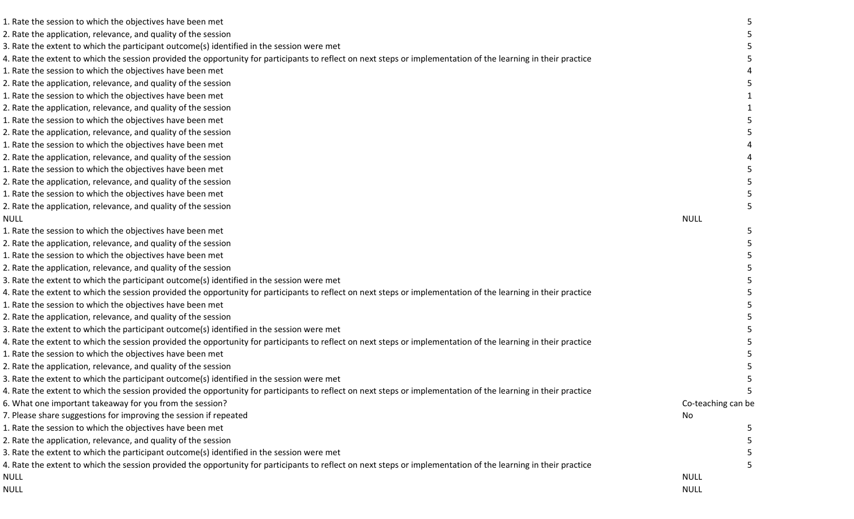| 1. Rate the session to which the objectives have been met                                                                                                      |                    |  |
|----------------------------------------------------------------------------------------------------------------------------------------------------------------|--------------------|--|
| 2. Rate the application, relevance, and quality of the session                                                                                                 |                    |  |
| 3. Rate the extent to which the participant outcome(s) identified in the session were met                                                                      |                    |  |
| 4. Rate the extent to which the session provided the opportunity for participants to reflect on next steps or implementation of the learning in their practice |                    |  |
| 1. Rate the session to which the objectives have been met                                                                                                      |                    |  |
| 2. Rate the application, relevance, and quality of the session                                                                                                 |                    |  |
| 1. Rate the session to which the objectives have been met                                                                                                      |                    |  |
| 2. Rate the application, relevance, and quality of the session                                                                                                 |                    |  |
| 1. Rate the session to which the objectives have been met                                                                                                      |                    |  |
| 2. Rate the application, relevance, and quality of the session                                                                                                 |                    |  |
| 1. Rate the session to which the objectives have been met                                                                                                      |                    |  |
| 2. Rate the application, relevance, and quality of the session                                                                                                 |                    |  |
| 1. Rate the session to which the objectives have been met                                                                                                      |                    |  |
| 2. Rate the application, relevance, and quality of the session                                                                                                 |                    |  |
| 1. Rate the session to which the objectives have been met                                                                                                      |                    |  |
| 2. Rate the application, relevance, and quality of the session                                                                                                 |                    |  |
| <b>NULL</b>                                                                                                                                                    | <b>NULL</b>        |  |
| 1. Rate the session to which the objectives have been met                                                                                                      |                    |  |
| 2. Rate the application, relevance, and quality of the session                                                                                                 |                    |  |
| 1. Rate the session to which the objectives have been met                                                                                                      |                    |  |
| 2. Rate the application, relevance, and quality of the session                                                                                                 |                    |  |
| 3. Rate the extent to which the participant outcome(s) identified in the session were met                                                                      |                    |  |
| 4. Rate the extent to which the session provided the opportunity for participants to reflect on next steps or implementation of the learning in their practice |                    |  |
| 1. Rate the session to which the objectives have been met                                                                                                      |                    |  |
| 2. Rate the application, relevance, and quality of the session                                                                                                 |                    |  |
| 3. Rate the extent to which the participant outcome(s) identified in the session were met                                                                      |                    |  |
| 4. Rate the extent to which the session provided the opportunity for participants to reflect on next steps or implementation of the learning in their practice |                    |  |
| 1. Rate the session to which the objectives have been met                                                                                                      |                    |  |
| 2. Rate the application, relevance, and quality of the session                                                                                                 |                    |  |
| 3. Rate the extent to which the participant outcome(s) identified in the session were met                                                                      |                    |  |
| 4. Rate the extent to which the session provided the opportunity for participants to reflect on next steps or implementation of the learning in their practice |                    |  |
| 6. What one important takeaway for you from the session?                                                                                                       | Co-teaching can be |  |
| 7. Please share suggestions for improving the session if repeated                                                                                              | No                 |  |
| 1. Rate the session to which the objectives have been met                                                                                                      |                    |  |
| 2. Rate the application, relevance, and quality of the session                                                                                                 |                    |  |
| 3. Rate the extent to which the participant outcome(s) identified in the session were met                                                                      |                    |  |
| 4. Rate the extent to which the session provided the opportunity for participants to reflect on next steps or implementation of the learning in their practice |                    |  |
| <b>NULL</b>                                                                                                                                                    | <b>NULL</b>        |  |
| <b>NULL</b>                                                                                                                                                    | <b>NULL</b>        |  |
|                                                                                                                                                                |                    |  |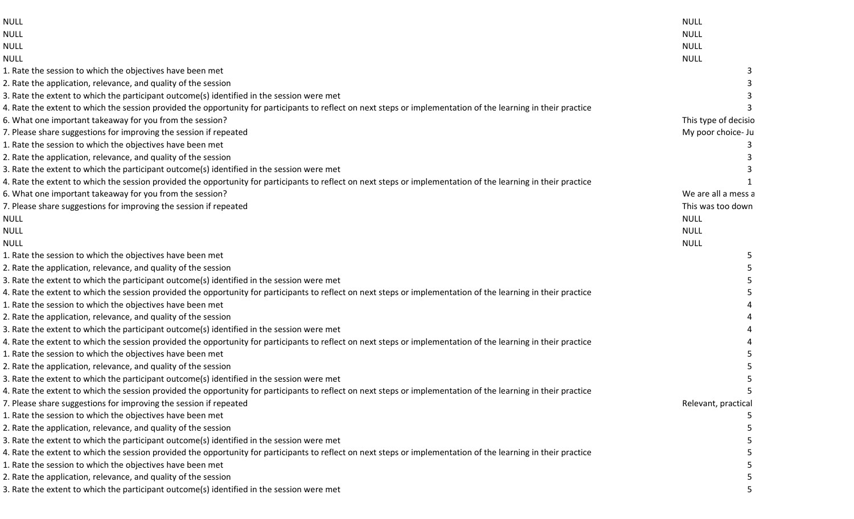| <b>NULL</b>                                                                                                                                                    | <b>NULL</b>          |
|----------------------------------------------------------------------------------------------------------------------------------------------------------------|----------------------|
| <b>NULL</b>                                                                                                                                                    | <b>NULL</b>          |
| <b>NULL</b>                                                                                                                                                    | <b>NULL</b>          |
| <b>NULL</b>                                                                                                                                                    | <b>NULL</b>          |
| 1. Rate the session to which the objectives have been met                                                                                                      |                      |
| 2. Rate the application, relevance, and quality of the session                                                                                                 |                      |
| 3. Rate the extent to which the participant outcome(s) identified in the session were met                                                                      |                      |
| 4. Rate the extent to which the session provided the opportunity for participants to reflect on next steps or implementation of the learning in their practice |                      |
| 6. What one important takeaway for you from the session?                                                                                                       | This type of decisio |
| 7. Please share suggestions for improving the session if repeated                                                                                              | My poor choice- Ju   |
| 1. Rate the session to which the objectives have been met                                                                                                      |                      |
| 2. Rate the application, relevance, and quality of the session                                                                                                 |                      |
| 3. Rate the extent to which the participant outcome(s) identified in the session were met                                                                      |                      |
| 4. Rate the extent to which the session provided the opportunity for participants to reflect on next steps or implementation of the learning in their practice |                      |
| 6. What one important takeaway for you from the session?                                                                                                       | We are all a mess a  |
| 7. Please share suggestions for improving the session if repeated                                                                                              | This was too down    |
| NULL                                                                                                                                                           | <b>NULL</b>          |
| <b>NULL</b>                                                                                                                                                    | <b>NULL</b>          |
| <b>NULL</b>                                                                                                                                                    | <b>NULL</b>          |
| 1. Rate the session to which the objectives have been met                                                                                                      |                      |
| 2. Rate the application, relevance, and quality of the session                                                                                                 |                      |
| 3. Rate the extent to which the participant outcome(s) identified in the session were met                                                                      |                      |
| 4. Rate the extent to which the session provided the opportunity for participants to reflect on next steps or implementation of the learning in their practice |                      |
| 1. Rate the session to which the objectives have been met                                                                                                      |                      |
| 2. Rate the application, relevance, and quality of the session                                                                                                 |                      |
| 3. Rate the extent to which the participant outcome(s) identified in the session were met                                                                      |                      |
| 4. Rate the extent to which the session provided the opportunity for participants to reflect on next steps or implementation of the learning in their practice |                      |
| 1. Rate the session to which the objectives have been met                                                                                                      |                      |
| 2. Rate the application, relevance, and quality of the session                                                                                                 |                      |
| 3. Rate the extent to which the participant outcome(s) identified in the session were met                                                                      |                      |
| 4. Rate the extent to which the session provided the opportunity for participants to reflect on next steps or implementation of the learning in their practice |                      |
| 7. Please share suggestions for improving the session if repeated                                                                                              | Relevant, practical  |
| 1. Rate the session to which the objectives have been met                                                                                                      |                      |
| 2. Rate the application, relevance, and quality of the session                                                                                                 |                      |
| 3. Rate the extent to which the participant outcome(s) identified in the session were met                                                                      |                      |
| 4. Rate the extent to which the session provided the opportunity for participants to reflect on next steps or implementation of the learning in their practice |                      |
| 1. Rate the session to which the objectives have been met                                                                                                      |                      |
| 2. Rate the application, relevance, and quality of the session                                                                                                 |                      |
| 3. Rate the extent to which the participant outcome(s) identified in the session were met                                                                      |                      |
|                                                                                                                                                                |                      |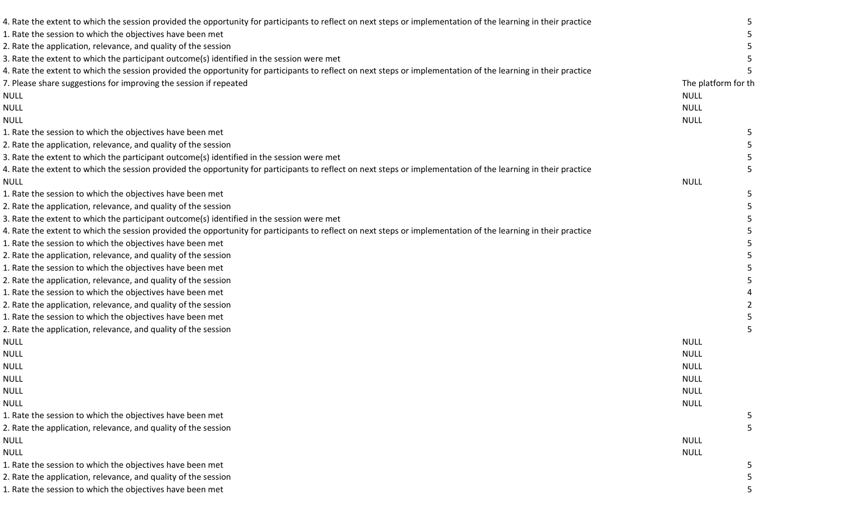| 4. Rate the extent to which the session provided the opportunity for participants to reflect on next steps or implementation of the learning in their practice |                     |  |
|----------------------------------------------------------------------------------------------------------------------------------------------------------------|---------------------|--|
| 1. Rate the session to which the objectives have been met                                                                                                      |                     |  |
| 2. Rate the application, relevance, and quality of the session                                                                                                 |                     |  |
| 3. Rate the extent to which the participant outcome(s) identified in the session were met                                                                      |                     |  |
| 4. Rate the extent to which the session provided the opportunity for participants to reflect on next steps or implementation of the learning in their practice |                     |  |
| 7. Please share suggestions for improving the session if repeated                                                                                              | The platform for th |  |
| <b>NULL</b>                                                                                                                                                    | <b>NULL</b>         |  |
| <b>NULL</b>                                                                                                                                                    | <b>NULL</b>         |  |
| <b>NULL</b>                                                                                                                                                    | <b>NULL</b>         |  |
| 1. Rate the session to which the objectives have been met                                                                                                      |                     |  |
| 2. Rate the application, relevance, and quality of the session                                                                                                 |                     |  |
| 3. Rate the extent to which the participant outcome(s) identified in the session were met                                                                      |                     |  |
| 4. Rate the extent to which the session provided the opportunity for participants to reflect on next steps or implementation of the learning in their practice |                     |  |
| <b>NULL</b>                                                                                                                                                    | <b>NULL</b>         |  |
| 1. Rate the session to which the objectives have been met                                                                                                      |                     |  |
| 2. Rate the application, relevance, and quality of the session                                                                                                 |                     |  |
| 3. Rate the extent to which the participant outcome(s) identified in the session were met                                                                      |                     |  |
| 4. Rate the extent to which the session provided the opportunity for participants to reflect on next steps or implementation of the learning in their practice |                     |  |
| 1. Rate the session to which the objectives have been met                                                                                                      |                     |  |
| 2. Rate the application, relevance, and quality of the session                                                                                                 |                     |  |
| 1. Rate the session to which the objectives have been met                                                                                                      |                     |  |
| 2. Rate the application, relevance, and quality of the session                                                                                                 |                     |  |
| 1. Rate the session to which the objectives have been met                                                                                                      |                     |  |
| 2. Rate the application, relevance, and quality of the session                                                                                                 |                     |  |
|                                                                                                                                                                |                     |  |
| 1. Rate the session to which the objectives have been met                                                                                                      |                     |  |
| 2. Rate the application, relevance, and quality of the session                                                                                                 |                     |  |
| <b>NULL</b>                                                                                                                                                    | <b>NULL</b>         |  |
| <b>NULL</b>                                                                                                                                                    | <b>NULL</b>         |  |
| <b>NULL</b>                                                                                                                                                    | <b>NULL</b>         |  |
| <b>NULL</b>                                                                                                                                                    | <b>NULL</b>         |  |
| <b>NULL</b>                                                                                                                                                    | <b>NULL</b>         |  |
| <b>NULL</b>                                                                                                                                                    | <b>NULL</b>         |  |
| 1. Rate the session to which the objectives have been met                                                                                                      |                     |  |
| 2. Rate the application, relevance, and quality of the session                                                                                                 |                     |  |
| <b>NULL</b>                                                                                                                                                    | <b>NULL</b>         |  |
| <b>NULL</b>                                                                                                                                                    | <b>NULL</b>         |  |
| 1. Rate the session to which the objectives have been met                                                                                                      |                     |  |
| 2. Rate the application, relevance, and quality of the session                                                                                                 |                     |  |
| 1. Rate the session to which the objectives have been met                                                                                                      |                     |  |
|                                                                                                                                                                |                     |  |